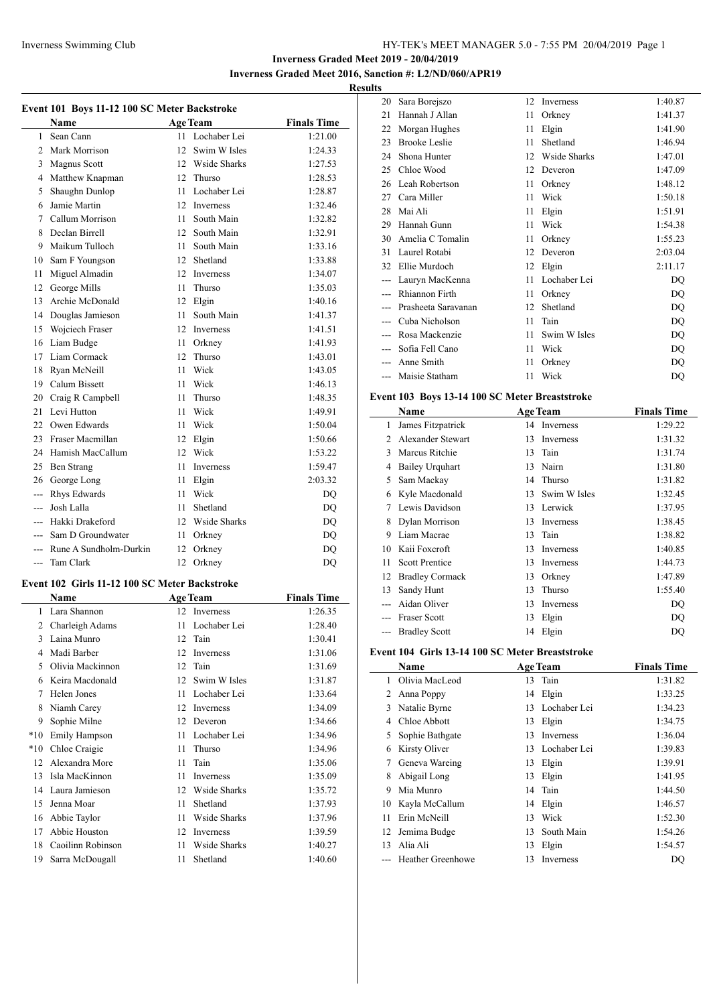## **Inverness Graded Meet 2019 - 20/04/2019 Inverness Graded Meet 2016, Sanction #: L2/ND/060/APR19**

# **Results**

| Event 101 Boys 11-12 100 SC Meter Backstroke |                                               |     |                   |                    |
|----------------------------------------------|-----------------------------------------------|-----|-------------------|--------------------|
|                                              | Name                                          |     | <b>Age Team</b>   | <b>Finals Time</b> |
| 1                                            | Sean Cann                                     | 11  | Lochaber Lei      | 1:21.00            |
| $\overline{c}$                               | Mark Morrison                                 | 12. | Swim W Isles      | 1:24.33            |
| 3                                            | Magnus Scott                                  |     | 12 Wside Sharks   | 1:27.53            |
| 4                                            | Matthew Knapman                               | 12  | Thurso            | 1:28.53            |
| 5                                            | Shaughn Dunlop                                | 11  | Lochaber Lei      | 1:28.87            |
| 6                                            | Jamie Martin                                  | 12  | <b>Inverness</b>  | 1:32.46            |
| 7                                            | Callum Morrison                               | 11  | South Main        | 1:32.82            |
| 8                                            | Declan Birrell                                |     | 12 South Main     | 1:32.91            |
| 9                                            | Maikum Tulloch                                | 11  | South Main        | 1:33.16            |
| 10                                           | Sam F Youngson                                |     | 12 Shetland       | 1:33.88            |
| 11                                           | Miguel Almadin                                |     | 12 Inverness      | 1:34.07            |
| 12                                           | George Mills                                  | 11  | Thurso            | 1:35.03            |
| 13                                           | Archie McDonald                               |     | 12 Elgin          | 1:40.16            |
| 14                                           | Douglas Jamieson                              | 11  | South Main        | 1:41.37            |
| 15                                           | Wojciech Fraser                               |     | 12 Inverness      | 1:41.51            |
| 16                                           | Liam Budge                                    | 11  | Orkney            | 1:41.93            |
| 17                                           | Liam Cormack                                  | 12  | Thurso            | 1:43.01            |
| 18                                           | Ryan McNeill                                  | 11  | Wick              | 1:43.05            |
| 19                                           | Calum Bissett                                 | 11  | Wick              | 1:46.13            |
| 20                                           | Craig R Campbell                              | 11  | Thurso            | 1:48.35            |
| 21                                           | Levi Hutton                                   | 11  | Wick              | 1:49.91            |
| 22                                           | Owen Edwards                                  | 11  | Wick              | 1:50.04            |
| 23                                           | Fraser Macmillan                              | 12  | Elgin             | 1:50.66            |
| 24                                           | Hamish MacCallum                              | 12  | Wick              | 1:53.22            |
| 25                                           | Ben Strang                                    | 11  | Inverness         | 1:59.47            |
| 26                                           | George Long                                   | 11  | Elgin             | 2:03.32            |
| ---                                          | Rhys Edwards                                  | 11  | Wick              | <b>DQ</b>          |
| ---                                          | Josh Lalla                                    | 11  | Shetland          | <b>DQ</b>          |
| ---                                          | Hakki Drakeford                               |     | 12 Wside Sharks   | <b>DQ</b>          |
| ---                                          | Sam D Groundwater                             | 11  | Orkney            | <b>DQ</b>          |
| ---                                          | Rune A Sundholm-Durkin                        | 12  | Orkney            | DQ                 |
| $\overline{a}$                               | <b>Tam Clark</b>                              | 12  | Orkney            | <b>DQ</b>          |
|                                              | Event 102 Girls 11-12 100 SC Meter Backstroke |     |                   |                    |
|                                              | Name                                          |     | <b>Age Team</b>   | <b>Finals Time</b> |
| 1                                            | Lara Shannon                                  |     | 12 Inverness      | 1:26.35            |
|                                              | 2. Charloigh Adams                            |     | $11$ Loopobor Loi | 1.29A0             |

|       |                   |    | <b>ACC TURNE</b> | .       |
|-------|-------------------|----|------------------|---------|
| 1     | Lara Shannon      | 12 | Inverness        | 1:26.35 |
| 2     | Charleigh Adams   | 11 | Lochaber Lei     | 1:28.40 |
| 3     | Laina Munro       | 12 | Tain             | 1:30.41 |
| 4     | Madi Barber       | 12 | Inverness        | 1:31.06 |
| 5     | Olivia Mackinnon  | 12 | Tain             | 1:31.69 |
| 6     | Keira Macdonald   | 12 | Swim W Isles     | 1:31.87 |
| 7     | Helen Jones       | 11 | Lochaber Lei     | 1:33.64 |
| 8     | Niamh Carey       | 12 | Inverness        | 1:34.09 |
| 9     | Sophie Milne      | 12 | Deveron          | 1:34.66 |
| $*10$ | Emily Hampson     | 11 | Lochaber Lei     | 1:34.96 |
| $*10$ | Chloe Craigie     | 11 | Thurso           | 1:34.96 |
| 12    | Alexandra More    | 11 | Tain             | 1:35.06 |
| 13    | Isla MacKinnon    | 11 | Inverness        | 1:35.09 |
| 14    | Laura Jamieson    | 12 | Wside Sharks     | 1:35.72 |
| 15    | Jenna Moar        | 11 | Shetland         | 1:37.93 |
| 16    | Abbie Taylor      | 11 | Wside Sharks     | 1:37.96 |
| 17    | Abbie Houston     | 12 | Inverness        | 1:39.59 |
| 18    | Caoilinn Robinson | 11 | Wside Sharks     | 1:40.27 |
| 19    | Sarra McDougall   | 11 | Shetland         | 1:40.60 |

| LS |                      |    |              |         |
|----|----------------------|----|--------------|---------|
| 20 | Sara Borejszo        | 12 | Inverness    | 1:40.87 |
| 21 | Hannah J Allan       | 11 | Orkney       | 1:41.37 |
| 22 | Morgan Hughes        | 11 | Elgin        | 1:41.90 |
| 23 | <b>Brooke Leslie</b> | 11 | Shetland     | 1:46.94 |
| 24 | Shona Hunter         | 12 | Wside Sharks | 1:47.01 |
| 25 | Chloe Wood           | 12 | Deveron      | 1:47.09 |
| 26 | Leah Robertson       | 11 | Orkney       | 1:48.12 |
| 27 | Cara Miller          | 11 | Wick         | 1:50.18 |
| 28 | Mai Ali              | 11 | Elgin        | 1:51.91 |
| 29 | Hannah Gunn          | 11 | Wick         | 1:54.38 |
| 30 | Amelia C Tomalin     | 11 | Orkney       | 1:55.23 |
| 31 | Laurel Rotabi        | 12 | Deveron      | 2:03.04 |
| 32 | Ellie Murdoch        | 12 | Elgin        | 2:11.17 |
|    | Lauryn MacKenna      | 11 | Lochaber Lei | DQ      |
|    | Rhiannon Firth       | 11 | Orkney       | DO      |
|    | Prasheeta Saravanan  | 12 | Shetland     | DQ      |
|    | Cuba Nicholson       | 11 | Tain         | DQ      |
|    | Rosa Mackenzie       | 11 | Swim W Isles | DQ      |
|    | Sofia Fell Cano      | 11 | Wick         | DQ      |
|    | Anne Smith           | 11 | Orkney       | DQ      |
|    | Maisie Statham       | 11 | Wick         | DQ      |
|    |                      |    |              |         |

### **Event 103 Boys 13-14 100 SC Meter Breaststroke**

|               | Name                   |    | <b>Age Team</b> | <b>Finals Time</b> |
|---------------|------------------------|----|-----------------|--------------------|
| 1             | James Fitzpatrick      | 14 | Inverness       | 1:29.22            |
| $\mathcal{L}$ | Alexander Stewart      | 13 | Inverness       | 1:31.32            |
| 3             | Marcus Ritchie         | 13 | Tain            | 1:31.74            |
| 4             | <b>Bailey Urquhart</b> | 13 | Nairn           | 1:31.80            |
| 5             | Sam Mackay             | 14 | Thurso          | 1:31.82            |
| 6             | Kyle Macdonald         | 13 | Swim W Isles    | 1:32.45            |
| 7             | Lewis Davidson         | 13 | Lerwick         | 1:37.95            |
| 8             | Dylan Morrison         | 13 | Inverness       | 1:38.45            |
| 9             | Liam Macrae            | 13 | Tain            | 1:38.82            |
| 10            | Kaii Foxcroft          | 13 | Inverness       | 1:40.85            |
| 11            | <b>Scott Prentice</b>  | 13 | Inverness       | 1:44.73            |
| 12            | <b>Bradley Cormack</b> | 13 | Orkney          | 1:47.89            |
| 13            | Sandy Hunt             | 13 | Thurso          | 1:55.40            |
|               | Aidan Oliver           | 13 | Inverness       | DQ                 |
|               | <b>Fraser Scott</b>    | 13 | Elgin           | DQ                 |
|               | <b>Bradley Scott</b>   | 14 | Elgin           | DO                 |

### **Event 104 Girls 13-14 100 SC Meter Breaststroke**

|    | Name                     |     | <b>Age Team</b>  | <b>Finals Time</b> |
|----|--------------------------|-----|------------------|--------------------|
|    | Olivia MacLeod           | 13  | Tain             | 1:31.82            |
| 2  | Anna Poppy               |     | 14 Elgin         | 1:33.25            |
| 3  | Natalie Byrne            | 13  | Lochaber Lei     | 1:34.23            |
| 4  | Chloe Abbott             | 13  | Elgin            | 1:34.75            |
| 5. | Sophie Bathgate          | 13  | <b>Inverness</b> | 1:36.04            |
| 6  | Kirsty Oliver            | 13. | Lochaber Lei     | 1:39.83            |
| 7  | Geneva Wareing           | 13  | Elgin            | 1:39.91            |
| 8  | Abigail Long             | 13  | Elgin            | 1:41.95            |
| 9  | Mia Munro                |     | 14 Tain          | 1:44.50            |
| 10 | Kayla McCallum           |     | 14 Elgin         | 1:46.57            |
| 11 | Erin McNeill             | 13  | Wick             | 1:52.30            |
| 12 | Jemima Budge             | 13  | South Main       | 1:54.26            |
| 13 | Alia Ali                 | 13  | Elgin            | 1:54.57            |
|    | <b>Heather Greenhowe</b> | 13  | Inverness        | DQ                 |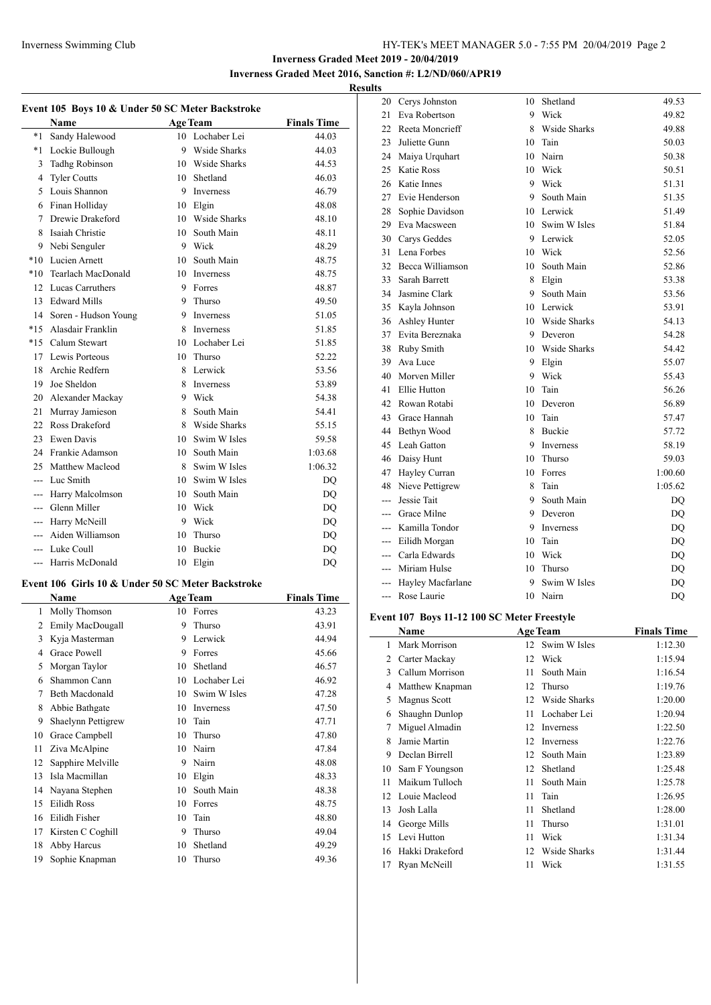Cerys Johnston 10 Shetland 49.53

**Inverness Graded Meet 2019 - 20/04/2019 Inverness Graded Meet 2016, Sanction #: L2/ND/060/APR19**

## **Results**

|                | Event 105 Boys 10 & Under 50 SC Meter Backstroke  |    |                 |                    |
|----------------|---------------------------------------------------|----|-----------------|--------------------|
|                | Name                                              |    | <b>Age Team</b> | <b>Finals Time</b> |
| $^*1$          | Sandy Halewood                                    |    | 10 Lochaber Lei | 44.03              |
| $*1$           | Lockie Bullough                                   | 9  | Wside Sharks    | 44.03              |
| 3              | <b>Tadhg Robinson</b>                             |    | 10 Wside Sharks | 44.53              |
| 4              | <b>Tyler Coutts</b>                               | 10 | Shetland        | 46.03              |
| 5              | Louis Shannon                                     | 9  | Inverness       | 46.79              |
| 6              | Finan Holliday                                    |    | 10 Elgin        | 48.08              |
| 7              | Drewie Drakeford                                  |    | 10 Wside Sharks | 48.10              |
| 8              | Isaiah Christie                                   |    | 10 South Main   | 48.11              |
| 9              | Nebi Senguler                                     |    | 9 Wick          | 48.29              |
| $*10$          | Lucien Arnett                                     |    | 10 South Main   | 48.75              |
| $*10$          | Tearlach MacDonald                                |    | 10 Inverness    | 48.75              |
| 12             | Lucas Carruthers                                  | 9  | Forres          | 48.87              |
| 13             | <b>Edward Mills</b>                               | 9  | Thurso          | 49.50              |
| 14             | Soren - Hudson Young                              | 9  | Inverness       | 51.05              |
| $*15$          | Alasdair Franklin                                 | 8  | Inverness       | 51.85              |
| $*15$          | Calum Stewart                                     | 10 | Lochaber Lei    | 51.85              |
| 17             | Lewis Porteous                                    | 10 | Thurso          | 52.22              |
| 18             | Archie Redfern                                    | 8  | Lerwick         | 53.56              |
| 19             | Joe Sheldon                                       | 8  | Inverness       | 53.89              |
| 20             | Alexander Mackay                                  | 9. | Wick            | 54.38              |
| 21             | Murray Jamieson                                   | 8  | South Main      | 54.41              |
| 22             | Ross Drakeford                                    | 8  | Wside Sharks    | 55.15              |
| 23             | Ewen Davis                                        |    | 10 Swim W Isles | 59.58              |
| 24             | Frankie Adamson                                   |    | 10 South Main   | 1:03.68            |
| 25             | Matthew Macleod                                   | 8  | Swim W Isles    | 1:06.32            |
| ---            | Luc Smith                                         | 10 | Swim W Isles    | DQ                 |
| ---            | Harry Malcolmson                                  | 10 | South Main      | DQ                 |
| ---            | Glenn Miller                                      | 10 | Wick            | DQ                 |
| ---            | Harry McNeill                                     | 9. | Wick            | DQ                 |
| $\overline{a}$ | Aiden Williamson                                  | 10 | Thurso          | DQ                 |
| ---            | Luke Coull                                        | 10 | Buckie          | DQ                 |
| ---            | Harris McDonald                                   | 10 | Elgin           | DQ                 |
|                | Event 106 Girls 10 & Under 50 SC Meter Backstroke |    |                 |                    |
|                | Name                                              |    | <b>Age Team</b> | <b>Finals Time</b> |
| 1              | Molly Thomson                                     |    | 10 Forres       | 43.23              |
|                | 2 Emily MacDougall                                |    | 9 Thurso        | 43.91              |
| 3              | Kyja Masterman                                    | 9  | Lerwick         | 44.94              |
| 4              | Grace Powell                                      | 9  | Forres          | 45.66              |
| 5              | Morgan Taylor                                     | 10 | Shetland        | 46.57              |
| 6              | Shammon Cann                                      | 10 | Lochaber Lei    | 46.92              |
| 7              | Beth Macdonald                                    | 10 | Swim W Isles    | 47.28              |
| 8              | Abbie Bathgate                                    | 10 | Inverness       | 47.50              |
| 9              | Shaelynn Pettigrew                                | 10 | Tain            | 47.71              |
| 10             | Grace Campbell                                    | 10 | Thurso          | 47.80              |
| 11             | Ziva McAlpine                                     | 10 | Nairn           | 47.84              |
| 12             | Sapphire Melville                                 | 9  | Nairn           | 48.08              |
| 13             | Isla Macmillan                                    | 10 | Elgin           | 48.33              |
| 14             | Nayana Stephen                                    | 10 | South Main      | 48.38              |
| 15             | Eilidh Ross                                       | 10 | Forres          | 48.75              |

 Eilidh Fisher 10 Tain 48.80 17 Kirsten C Coghill 9 Thurso 49.04 Abby Harcus 10 Shetland 49.29 Sophie Knapman 10 Thurso 49.36

| 21  | Eva Robertson                            | 9  | Wick         | 49.82                  |
|-----|------------------------------------------|----|--------------|------------------------|
| 22  | Reeta Moncrieff                          | 8  | Wside Sharks | 49.88                  |
| 23  | Juliette Gunn                            | 10 | Tain         | 50.03                  |
| 24  | Maiya Urquhart                           | 10 | Nairn        | 50.38                  |
| 25  | Katie Ross                               | 10 | Wick         | 50.51                  |
| 26  | Katie Innes                              | 9  | Wick         | 51.31                  |
| 27  | Evie Henderson                           | 9  | South Main   | 51.35                  |
| 28  | Sophie Davidson                          | 10 | Lerwick      | 51.49                  |
| 29  | Eva Macsween                             | 10 | Swim W Isles | 51.84                  |
| 30  | Carys Geddes                             | 9  | Lerwick      | 52.05                  |
| 31  | Lena Forbes                              | 10 | Wick         | 52.56                  |
| 32  | Becca Williamson                         | 10 | South Main   | 52.86                  |
| 33  | Sarah Barrett                            | 8  | Elgin        | 53.38                  |
| 34  | Jasmine Clark                            | 9  | South Main   | 53.56                  |
| 35  | Kayla Johnson                            | 10 | Lerwick      | 53.91                  |
| 36  | Ashley Hunter                            | 10 | Wside Sharks | 54.13                  |
| 37  | Evita Bereznaka                          | 9  | Deveron      | 54.28                  |
| 38  | Ruby Smith                               | 10 | Wside Sharks | 54.42                  |
| 39  | Ava Luce                                 | 9  | Elgin        | 55.07                  |
| 40  | Morven Miller                            | 9  | Wick         | 55.43                  |
| 41  | Ellie Hutton                             | 10 | Tain         | 56.26                  |
| 42  | Rowan Rotabi                             | 10 | Deveron      | 56.89                  |
| 43  | Grace Hannah                             | 10 | Tain         | 57.47                  |
| 44  | Bethyn Wood                              | 8  | Buckie       | 57.72                  |
| 45  | Leah Gatton                              | 9  | Inverness    | 58.19                  |
| 46  | Daisy Hunt                               | 10 | Thurso       | 59.03                  |
| 47  | Hayley Curran                            | 10 | Forres       | 1:00.60                |
| 48  | Nieve Pettigrew                          | 8  | Tain         | 1:05.62                |
| --- | Jessie Tait                              | 9  | South Main   | DQ                     |
| --- | Grace Milne                              | 9  | Deveron      | DQ                     |
| --- | Kamilla Tondor                           | 9  | Inverness    | DQ                     |
| --- | Eilidh Morgan                            | 10 | Tain         | DQ                     |
|     | --- Carla Edwards                        | 10 | Wick         | $\mathbf{D}\mathbf{Q}$ |
|     | --- Miriam Hulse                         | 10 | Thurso       | DQ                     |
|     | --- Hayley Macfarlane                    | 9  | Swim W Isles | DQ                     |
|     | --- Rose Laurie                          | 10 | Nairn        | DQ                     |
|     | <b>11.10.100.0035.1</b><br>$\sqrt{4.07}$ |    | $\mathbf{r}$ |                        |

### **Event 107 Boys 11-12 100 SC Meter Freestyle**

 $\overline{a}$ 

|    | Name            |    | <b>Age Team</b> | <b>Finals Time</b> |
|----|-----------------|----|-----------------|--------------------|
| 1  | Mark Morrison   |    | 12 Swim W Isles | 1:12.30            |
| 2  | Carter Mackay   | 12 | Wick            | 1:15.94            |
| 3  | Callum Morrison | 11 | South Main      | 1:16.54            |
| 4  | Matthew Knapman | 12 | Thurso          | 1:19.76            |
| 5  | Magnus Scott    | 12 | Wside Sharks    | 1:20.00            |
| 6  | Shaughn Dunlop  | 11 | Lochaber Lei    | 1:20.94            |
| 7  | Miguel Almadin  | 12 | Inverness       | 1:22.50            |
| 8  | Jamie Martin    | 12 | Inverness       | 1:22.76            |
| 9  | Declan Birrell  | 12 | South Main      | 1:23.89            |
| 10 | Sam F Youngson  | 12 | Shetland        | 1:25.48            |
| 11 | Maikum Tulloch  | 11 | South Main      | 1:25.78            |
| 12 | Louie Macleod   | 11 | Tain            | 1:26.95            |
| 13 | Josh Lalla      | 11 | Shetland        | 1:28.00            |
| 14 | George Mills    | 11 | Thurso          | 1:31.01            |
| 15 | Levi Hutton     | 11 | Wick            | 1:31.34            |
| 16 | Hakki Drakeford | 12 | Wside Sharks    | 1:31.44            |
| 17 | Ryan McNeill    | 11 | Wick            | 1:31.55            |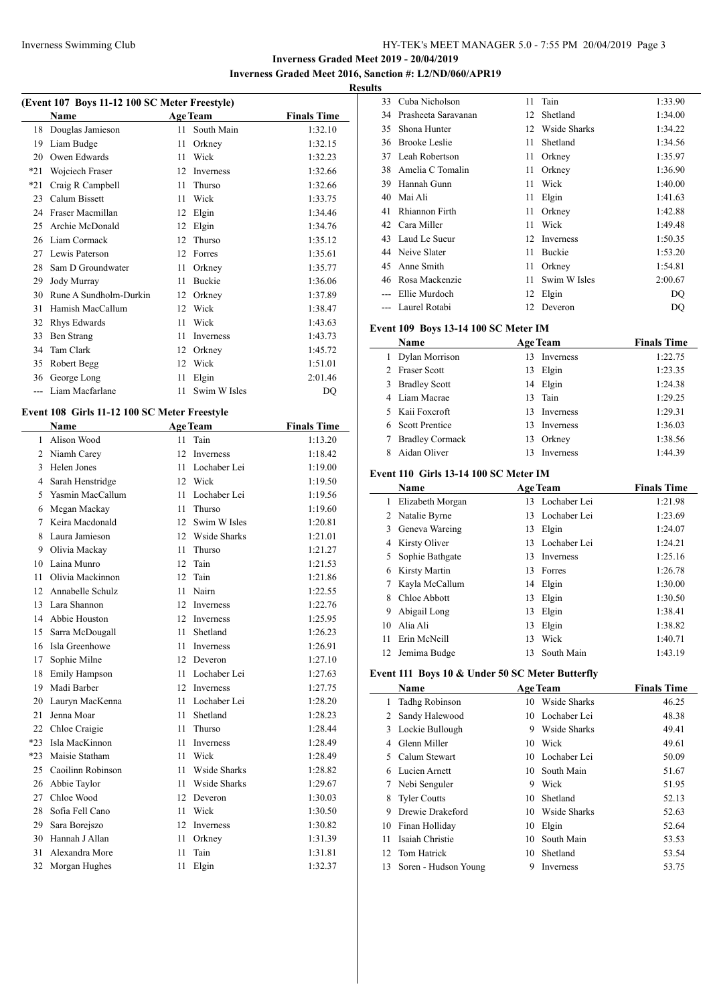**Inverness Graded Meet 2019 - 20/04/2019 Inverness Graded Meet 2016, Sanction #: L2/ND/060/APR19**

 $\overline{a}$ 

## **Results**

| (Event 107 Boys 11-12 100 SC Meter Freestyle) |                        |    |                 |                    |  |
|-----------------------------------------------|------------------------|----|-----------------|--------------------|--|
|                                               | <b>Name</b>            |    | <b>Age Team</b> | <b>Finals Time</b> |  |
| 18                                            | Douglas Jamieson       | 11 | South Main      | 1:32.10            |  |
| 19                                            | Liam Budge             | 11 | Orkney          | 1:32.15            |  |
| 20                                            | Owen Edwards           | 11 | Wick            | 1:32.23            |  |
| $*21$                                         | Wojciech Fraser        | 12 | Inverness       | 1:32.66            |  |
| $*21$                                         | Craig R Campbell       | 11 | Thurso          | 1:32.66            |  |
| 23                                            | Calum Bissett          | 11 | Wick            | 1:33.75            |  |
| 24                                            | Fraser Macmillan       | 12 | Elgin           | 1:34.46            |  |
| 25                                            | Archie McDonald        | 12 | Elgin           | 1:34.76            |  |
| 26                                            | Liam Cormack           | 12 | Thurso          | 1:35.12            |  |
| 27                                            | Lewis Paterson         | 12 | Forres          | 1:35.61            |  |
| 28                                            | Sam D Groundwater      | 11 | Orkney          | 1:35.77            |  |
| 29                                            | Jody Murray            | 11 | Buckie          | 1:36.06            |  |
| 30                                            | Rune A Sundholm-Durkin | 12 | Orkney          | 1:37.89            |  |
| 31                                            | Hamish MacCallum       | 12 | Wick            | 1:38.47            |  |
| 32                                            | Rhys Edwards           | 11 | Wick            | 1:43.63            |  |
| 33                                            | <b>Ben Strang</b>      | 11 | Inverness       | 1:43.73            |  |
| 34                                            | Tam Clark              | 12 | Orkney          | 1:45.72            |  |
| 35                                            | Robert Begg            | 12 | Wick            | 1:51.01            |  |
| 36                                            | George Long            | 11 | Elgin           | 2:01.46            |  |
| $---$                                         | Liam Macfarlane        | 11 | Swim W Isles    | D <sub>O</sub>     |  |

## **Event 108 Girls 11-12 100 SC Meter Freestyle**

|       | <b>Name</b>       |    | <b>Age Team</b>     | <b>Finals Time</b> |
|-------|-------------------|----|---------------------|--------------------|
| 1     | Alison Wood       | 11 | Tain                | 1:13.20            |
| 2     | Niamh Carey       | 12 | Inverness           | 1:18.42            |
| 3     | Helen Jones       | 11 | Lochaber Lei        | 1:19.00            |
| 4     | Sarah Henstridge  |    | 12 Wick             | 1:19.50            |
| 5     | Yasmin MacCallum  | 11 | Lochaber Lei        | 1:19.56            |
| 6     | Megan Mackay      | 11 | Thurso              | 1:19.60            |
| 7     | Keira Macdonald   | 12 | Swim W Isles        | 1:20.81            |
| 8     | Laura Jamieson    |    | 12 Wside Sharks     | 1:21.01            |
| 9     | Olivia Mackay     | 11 | Thurso              | 1:21.27            |
| 10    | Laina Munro       | 12 | Tain                | 1:21.53            |
| 11    | Olivia Mackinnon  | 12 | Tain                | 1:21.86            |
| 12    | Annabelle Schulz  | 11 | Nairn               | 1:22.55            |
| 13    | Lara Shannon      | 12 | Inverness           | 1:22.76            |
| 14    | Abbie Houston     | 12 | <b>Inverness</b>    | 1:25.95            |
| 15    | Sarra McDougall   | 11 | Shetland            | 1:26.23            |
| 16    | Isla Greenhowe    | 11 | Inverness           | 1:26.91            |
| 17    | Sophie Milne      | 12 | Deveron             | 1:27.10            |
| 18    | Emily Hampson     | 11 | Lochaber Lei        | 1:27.63            |
| 19    | Madi Barber       | 12 | <b>Inverness</b>    | 1:27.75            |
| 20    | Lauryn MacKenna   | 11 | Lochaber Lei        | 1:28.20            |
| 21    | Jenna Moar        | 11 | Shetland            | 1:28.23            |
| 22    | Chloe Craigie     | 11 | Thurso              | 1:28.44            |
| $*23$ | Isla MacKinnon    | 11 | <b>Inverness</b>    | 1:28.49            |
| $*23$ | Maisie Statham    | 11 | Wick                | 1:28.49            |
| 25    | Caoilinn Robinson | 11 | <b>Wside Sharks</b> | 1:28.82            |
| 26    | Abbie Taylor      | 11 | <b>Wside Sharks</b> | 1:29.67            |
| 27    | Chloe Wood        | 12 | Deveron             | 1:30.03            |
| 28    | Sofia Fell Cano   | 11 | Wick                | 1:30.50            |
| 29    | Sara Borejszo     | 12 | Inverness           | 1:30.82            |
| 30    | Hannah J Allan    | 11 | Orkney              | 1:31.39            |
| 31    | Alexandra More    | 11 | Tain                | 1:31.81            |
| 32    | Morgan Hughes     | 11 | Elgin               | 1:32.37            |
|       |                   |    |                     |                    |

| w  |                     |    |               |         |
|----|---------------------|----|---------------|---------|
| 33 | Cuba Nicholson      | 11 | Tain          | 1:33.90 |
| 34 | Prasheeta Sarayanan | 12 | Shetland      | 1:34.00 |
| 35 | Shona Hunter        | 12 | Wside Sharks  | 1:34.22 |
| 36 | Brooke Leslie       | 11 | Shetland      | 1:34.56 |
| 37 | Leah Robertson      | 11 | Orkney        | 1:35.97 |
| 38 | Amelia C Tomalin    | 11 | Orkney        | 1:36.90 |
| 39 | Hannah Gunn         | 11 | Wick          | 1:40.00 |
| 40 | Mai Ali             | 11 | Elgin         | 1:41.63 |
| 41 | Rhiannon Firth      | 11 | Orkney        | 1:42.88 |
| 42 | Cara Miller         | 11 | Wick          | 1:49.48 |
| 43 | Laud Le Sueur       | 12 | Inverness     | 1:50.35 |
| 44 | Neive Slater        | 11 | <b>Buckie</b> | 1:53.20 |
| 45 | Anne Smith          | 11 | Orkney        | 1:54.81 |
| 46 | Rosa Mackenzie      | 11 | Swim W Isles  | 2:00.67 |
|    | Ellie Murdoch       | 12 | Elgin         | DQ      |
|    | Laurel Rotabi       | 12 | Deveron       | DO      |
|    |                     |    |               |         |

#### **Event 109 Boys 13-14 100 SC Meter IM**

|   | Name                   |    | <b>Age Team</b> | <b>Finals Time</b> |  |  |
|---|------------------------|----|-----------------|--------------------|--|--|
|   | 1 Dylan Morrison       | 13 | Inverness       | 1:22.75            |  |  |
|   | 2 Fraser Scott         | 13 | Elgin           | 1:23.35            |  |  |
| 3 | <b>Bradley Scott</b>   |    | 14 Elgin        | 1:24.38            |  |  |
|   | 4 Liam Macrae          |    | 13 Tain         | 1:29.25            |  |  |
|   | 5 Kaii Foxcroft        |    | 13 Inverness    | 1:29.31            |  |  |
|   | 6 Scott Prentice       |    | 13 Inverness    | 1:36.03            |  |  |
|   | <b>Bradley Cormack</b> | 13 | Orkney          | 1:38.56            |  |  |
|   | Aidan Oliver           | 13 | Inverness       | 1:44.39            |  |  |

### **Event 110 Girls 13-14 100 SC Meter IM**

|                | Name             |    | <b>Age Team</b>  | <b>Finals Time</b> |
|----------------|------------------|----|------------------|--------------------|
| 1              | Elizabeth Morgan |    | 13 Lochaber Lei  | 1:21.98            |
| $\overline{2}$ | Natalie Byrne    | 13 | Lochaber Lei     | 1:23.69            |
| 3              | Geneva Wareing   | 13 | Elgin            | 1:24.07            |
| 4              | Kirsty Oliver    | 13 | Lochaber Lei     | 1:24.21            |
| 5              | Sophie Bathgate  | 13 | <b>Inverness</b> | 1:25.16            |
| 6              | Kirsty Martin    | 13 | Forres           | 1:26.78            |
|                | Kayla McCallum   | 14 | Elgin            | 1:30.00            |
| 8              | Chloe Abbott     | 13 | Elgin            | 1:30.50            |
| 9              | Abigail Long     | 13 | Elgin            | 1:38.41            |
| 10             | Alia Ali         | 13 | Elgin            | 1:38.82            |
| 11             | Erin McNeill     | 13 | Wick             | 1:40.71            |
| 12             | Jemima Budge     | 13 | South Main       | 1:43.19            |

#### **Event 111 Boys 10 & Under 50 SC Meter Butterfly**

|    | Name                 |    | <b>Age Team</b> | <b>Finals Time</b> |
|----|----------------------|----|-----------------|--------------------|
| 1  | Tadhg Robinson       | 10 | Wside Sharks    | 46.25              |
| 2  | Sandy Halewood       | 10 | Lochaber Lei    | 48.38              |
| 3  | Lockie Bullough      | 9  | Wside Sharks    | 49.41              |
| 4  | Glenn Miller         | 10 | Wick            | 49.61              |
|    | Calum Stewart        | 10 | Lochaber Lei    | 50.09              |
| 6  | Lucien Arnett        | 10 | South Main      | 51.67              |
| 7  | Nebi Senguler        | 9  | Wick            | 51.95              |
| 8  | <b>Tyler Coutts</b>  | 10 | Shetland        | 52.13              |
| 9  | Drewie Drakeford     | 10 | Wside Sharks    | 52.63              |
| 10 | Finan Holliday       | 10 | Elgin           | 52.64              |
| 11 | Isaiah Christie      | 10 | South Main      | 53.53              |
| 12 | Tom Hatrick          | 10 | Shetland        | 53.54              |
| 13 | Soren - Hudson Young | 9  | Inverness       | 53.75              |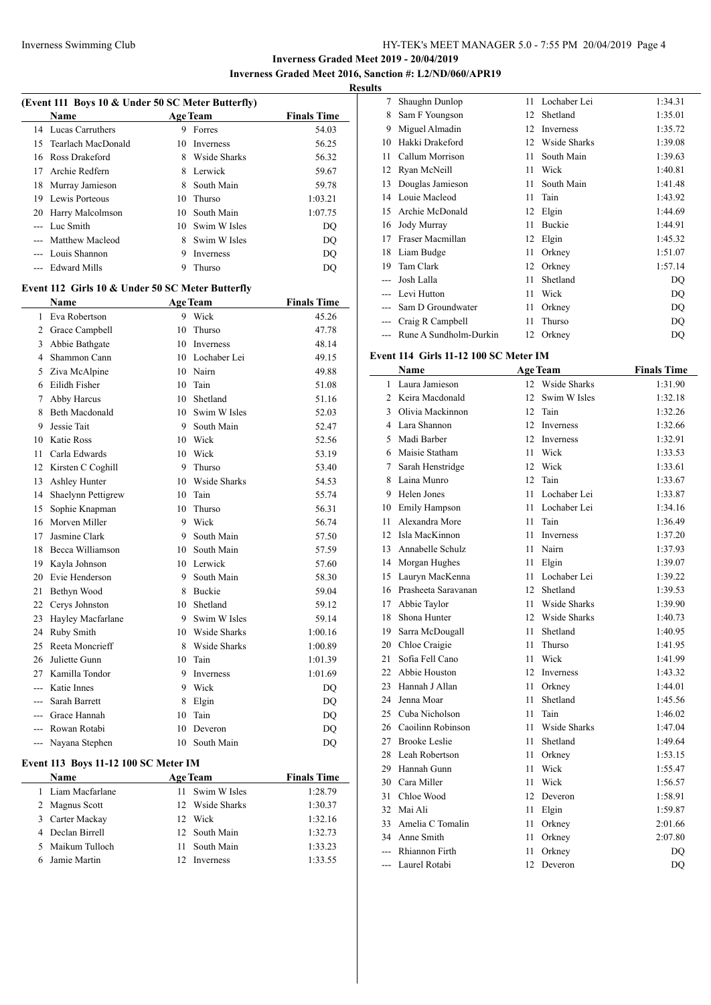**Inverness Graded Meet 2019 - 20/04/2019 Inverness Graded Meet 2016, Sanction #: L2/ND/060/APR19**

# **Results**

|                | (Event 111 Boys 10 & Under 50 SC Meter Butterfly) |    |                 |                    |  |
|----------------|---------------------------------------------------|----|-----------------|--------------------|--|
|                | <b>Name</b>                                       |    | <b>Age Team</b> | <b>Finals Time</b> |  |
| 14             | Lucas Carruthers                                  | 9  | Forres          | 54.03              |  |
| 15             | Tearlach MacDonald                                | 10 | Inverness       | 56.25              |  |
|                | 16 Ross Drakeford                                 |    | 8 Wside Sharks  | 56.32              |  |
| 17             | Archie Redfern                                    |    | 8 Lerwick       | 59.67              |  |
| 18             | Murray Jamieson                                   |    | 8 South Main    | 59.78              |  |
| 19             | Lewis Porteous                                    | 10 | Thurso          | 1:03.21            |  |
| 20             | Harry Malcolmson                                  |    | 10 South Main   | 1:07.75            |  |
|                | --- Luc Smith                                     |    | 10 Swim W Isles | DQ                 |  |
| ---            | <b>Matthew Macleod</b>                            |    | 8 Swim W Isles  | DQ                 |  |
| $\overline{a}$ | Louis Shannon                                     |    | 9 Inverness     | DQ                 |  |
| ---            | <b>Edward Mills</b>                               | 9  | Thurso          | <b>DQ</b>          |  |
|                | Event 112 Girls 10 & Under 50 SC Meter Butterfly  |    |                 |                    |  |
|                | <b>Name</b>                                       |    | <b>Age Team</b> | <b>Finals Time</b> |  |
| 1              | Eva Robertson                                     | 9  | Wick            | 45.26              |  |
| 2              | Grace Campbell                                    | 10 | Thurso          | 47.78              |  |
|                | 3 Abbie Bathgate                                  |    | 10 Inverness    | 48.14              |  |
|                | 4 Shammon Cann                                    |    | 10 Lochaber Lei | 49.15              |  |
| 5              | Ziva McAlpine                                     |    | 10 Nairn        | 49.88              |  |
| 6              | Eilidh Fisher                                     | 10 | Tain            | 51.08              |  |
| 7              | Abby Harcus                                       |    | 10 Shetland     | 51.16              |  |
| 8              | <b>Beth Macdonald</b>                             |    | 10 Swim W Isles | 52.03              |  |
| 9              | Jessie Tait                                       | 9. | South Main      | 52.47              |  |
| 10             | <b>Katie Ross</b>                                 |    | 10 Wick         | 52.56              |  |
| 11             | Carla Edwards                                     |    | 10 Wick         | 53.19              |  |
| 12             | Kirsten C Coghill                                 | 9  | Thurso          | 53.40              |  |
| 13             | Ashley Hunter                                     |    | 10 Wside Sharks | 54.53              |  |
| 14             | Shaelynn Pettigrew                                |    | 10 Tain         | 55.74              |  |
| 15             | Sophie Knapman                                    | 10 | Thurso          | 56.31              |  |
| 16             | Morven Miller                                     |    | 9 Wick          | 56.74              |  |
| 17             | Jasmine Clark                                     |    | 9 South Main    | 57.50              |  |
| 18             | Becca Williamson                                  |    | 10 South Main   |                    |  |
|                |                                                   |    |                 | 57.59              |  |
| 19             | Kayla Johnson                                     |    | 10 Lerwick      | 57.60              |  |
| 20             | Evie Henderson                                    | 9  | South Main      | 58.30              |  |
| 21             | Bethyn Wood                                       |    | 8 Buckie        | 59.04              |  |
| 22             | Cerys Johnston                                    | 10 | Shetland        | 59.12              |  |
| 23             | Hayley Macfarlane                                 |    | 9 Swim W Isles  | 59.14              |  |
|                | 24 Ruby Smith                                     |    | 10 Wside Sharks | 1:00.16            |  |
| 25             | Reeta Moncrieff                                   |    | 8 Wside Sharks  | 1:00.89            |  |
|                | 26 Juliette Gunn                                  |    | 10 Tain         | 1:01.39            |  |
|                | 27 Kamilla Tondor                                 |    | 9 Inverness     | 1:01.69            |  |
|                | --- Katie Innes                                   |    | 9 Wick          | DQ                 |  |
|                | --- Sarah Barrett                                 |    | 8 Elgin         | DQ                 |  |
|                | --- Grace Hannah                                  |    | 10 Tain         | DQ                 |  |
|                | --- Rowan Rotabi                                  | 10 | Deveron         | DQ                 |  |
|                | --- Nayana Stephen                                | 10 | South Main      | DQ                 |  |
|                | Event 113 Boys 11-12 100 SC Meter IM              |    |                 |                    |  |

| <b>Name</b>      | <b>Age Team</b>   | <b>Finals Time</b> |
|------------------|-------------------|--------------------|
| Liam Macfarlane  | 11 Swim W Isles   | 1:28.79            |
| 2 Magnus Scott   | 12 Wside Sharks   | 1:30.37            |
| 3 Carter Mackay  | Wick<br>12.       | 1:32.16            |
| 4 Declan Birrell | 12 South Main     | 1:32.73            |
| 5 Maikum Tulloch | South Main<br>11. | 1:33.23            |
| 6 Jamie Martin   | <b>Inverness</b>  | 1:33.55            |
|                  |                   |                    |

| s     |                        |    |              |         |
|-------|------------------------|----|--------------|---------|
| 7     | Shaughn Dunlop         | 11 | Lochaber Lei | 1:34.31 |
| 8     | Sam F Youngson         | 12 | Shetland     | 1:35.01 |
| 9     | Miguel Almadin         | 12 | Inverness    | 1:35.72 |
| 10    | Hakki Drakeford        | 12 | Wside Sharks | 1:39.08 |
| 11    | Callum Morrison        | 11 | South Main   | 1:39.63 |
| 12    | Ryan McNeill           | 11 | Wick         | 1:40.81 |
| 13    | Douglas Jamieson       | 11 | South Main   | 1:41.48 |
| 14    | Louie Macleod          | 11 | Tain         | 1:43.92 |
| 15    | Archie McDonald        | 12 | Elgin        | 1:44.69 |
| 16    | Jody Murray            | 11 | Buckie       | 1:44.91 |
| 17    | Fraser Macmillan       | 12 | Elgin        | 1:45.32 |
| 18    | Liam Budge             | 11 | Orkney       | 1:51.07 |
| 19    | Tam Clark              | 12 | Orkney       | 1:57.14 |
| $---$ | Josh Lalla             | 11 | Shetland     | DQ      |
|       | Levi Hutton            | 11 | Wick         | DQ      |
|       | Sam D Groundwater      | 11 | Orkney       | DQ      |
|       | Craig R Campbell       | 11 | Thurso       | DQ      |
|       | Rune A Sundholm-Durkin | 12 | Orkney       | DQ      |
|       |                        |    |              |         |

## **Event 114 Girls 11-12 100 SC Meter IM**

|                | Name                 |    | <b>Age Team</b>     | <b>Finals Time</b> |
|----------------|----------------------|----|---------------------|--------------------|
| 1              | Laura Jamieson       | 12 | Wside Sharks        | 1:31.90            |
| $\overline{2}$ | Keira Macdonald      | 12 | Swim W Isles        | 1:32.18            |
| 3              | Olivia Mackinnon     | 12 | Tain                | 1:32.26            |
| 4              | Lara Shannon         | 12 | Inverness           | 1:32.66            |
| 5              | Madi Barber          | 12 | Inverness           | 1:32.91            |
| 6              | Maisie Statham       | 11 | Wick                | 1:33.53            |
| 7              | Sarah Henstridge     | 12 | Wick                | 1:33.61            |
| 8              | Laina Munro          | 12 | Tain                | 1:33.67            |
| 9              | Helen Jones          | 11 | Lochaber Lei        | 1:33.87            |
| 10             | Emily Hampson        | 11 | Lochaber Lei        | 1:34.16            |
| 11             | Alexandra More       | 11 | Tain                | 1:36.49            |
| 12             | Isla MacKinnon       | 11 | Inverness           | 1:37.20            |
| 13             | Annabelle Schulz     | 11 | Nairn               | 1:37.93            |
| 14             | Morgan Hughes        | 11 | Elgin               | 1:39.07            |
| 15             | Lauryn MacKenna      | 11 | Lochaber Lei        | 1:39.22            |
| 16             | Prasheeta Saravanan  | 12 | Shetland            | 1:39.53            |
| 17             | Abbie Taylor         | 11 | <b>Wside Sharks</b> | 1:39.90            |
| 18             | Shona Hunter         | 12 | <b>Wside Sharks</b> | 1:40.73            |
| 19             | Sarra McDougall      | 11 | Shetland            | 1:40.95            |
| 20             | Chloe Craigie        | 11 | Thurso              | 1:41.95            |
| 21             | Sofia Fell Cano      | 11 | Wick                | 1:41.99            |
| 22             | Abbie Houston        | 12 | Inverness           | 1:43.32            |
| 23             | Hannah J Allan       | 11 | Orkney              | 1:44.01            |
| 24             | Jenna Moar           | 11 | Shetland            | 1:45.56            |
| 25             | Cuba Nicholson       | 11 | Tain                | 1:46.02            |
| 26             | Caoilinn Robinson    | 11 | <b>Wside Sharks</b> | 1:47.04            |
| 27             | <b>Brooke Leslie</b> | 11 | Shetland            | 1:49.64            |
| 28             | Leah Robertson       | 11 | Orkney              | 1:53.15            |
| 29             | Hannah Gunn          | 11 | Wick                | 1:55.47            |
| 30             | Cara Miller          | 11 | Wick                | 1:56.57            |
| 31             | Chloe Wood           | 12 | Deveron             | 1:58.91            |
| 32             | Mai Ali              | 11 | Elgin               | 1:59.87            |
| 33             | Amelia C Tomalin     | 11 | Orkney              | 2:01.66            |
| 34             | Anne Smith           | 11 | Orkney              | 2:07.80            |
| $\overline{a}$ | Rhiannon Firth       | 11 | Orkney              | DO                 |
| ---            | Laurel Rotabi        | 12 | Deveron             | DQ                 |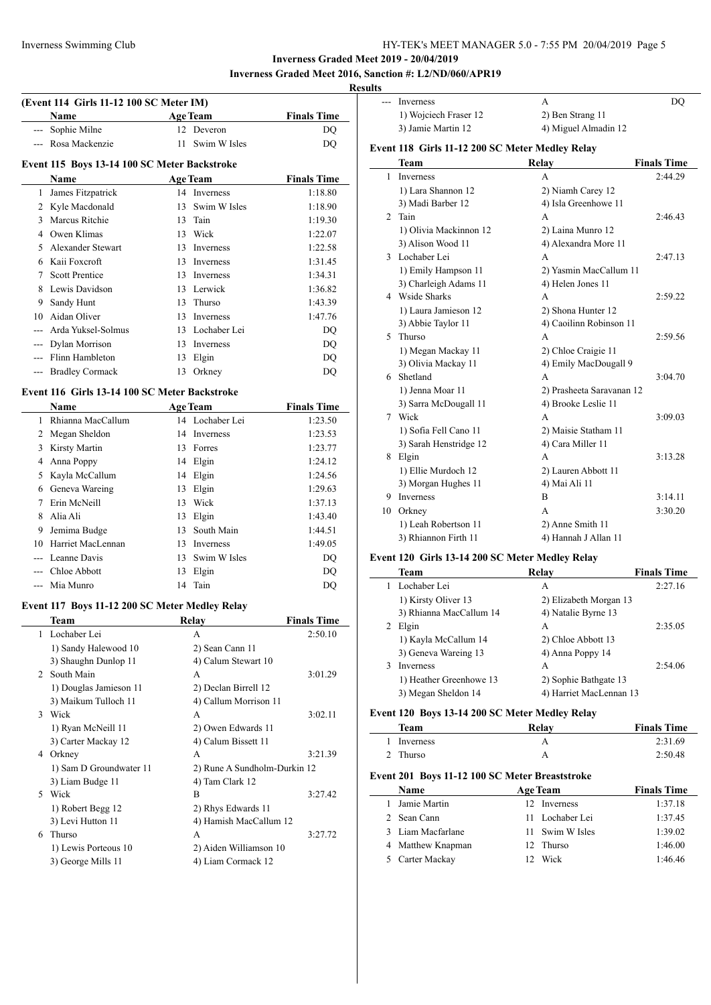**Inverness Graded Meet 2019 - 20/04/2019 Inverness Graded Meet 2016, Sanction #: L2/ND/060/APR19**

 $\overline{\phantom{0}}$ 

# **Results**

|                | (Event 114 Girls 11-12 100 SC Meter IM)<br>Name |    | <b>Age Team</b>              | <b>Finals Time</b> |
|----------------|-------------------------------------------------|----|------------------------------|--------------------|
|                | --- Sophie Milne                                |    | 12 Deveron                   | DQ                 |
|                | --- Rosa Mackenzie                              | 11 | Swim W Isles                 | <b>DQ</b>          |
|                | Event 115 Boys 13-14 100 SC Meter Backstroke    |    |                              |                    |
|                | <b>Name</b>                                     |    | <b>Age Team</b>              | <b>Finals Time</b> |
| 1              | James Fitzpatrick                               |    | 14 Inverness                 | 1:18.80            |
|                | 2 Kyle Macdonald                                |    | 13 Swim W Isles              | 1:18.90            |
|                | 3 Marcus Ritchie                                |    | 13 Tain                      | 1:19.30            |
|                | 4 Owen Klimas                                   |    | 13 Wick                      | 1:22.07            |
| 5              | Alexander Stewart                               |    | 13 Inverness                 | 1:22.58            |
| 6              | Kaii Foxcroft                                   |    | 13 Inverness                 | 1:31.45            |
| 7              | <b>Scott Prentice</b>                           |    | 13 Inverness                 | 1:34.31            |
| 8              | Lewis Davidson                                  |    | 13 Lerwick                   | 1:36.82            |
| 9.             | Sandy Hunt                                      |    | 13 Thurso                    | 1:43.39            |
|                | 10 Aidan Oliver                                 |    | 13 Inverness                 | 1:47.76            |
|                | --- Arda Yuksel-Solmus                          |    | 13 Lochaber Lei              | DQ                 |
|                | --- Dylan Morrison                              |    | 13 Inverness                 | DQ                 |
|                | --- Flinn Hambleton                             |    | 13 Elgin                     | DQ                 |
| ---            | <b>Bradley Cormack</b>                          | 13 | Orkney                       | DQ                 |
|                |                                                 |    |                              |                    |
|                | Event 116 Girls 13-14 100 SC Meter Backstroke   |    |                              |                    |
|                | <b>Name</b>                                     |    | <b>Age Team</b>              | <b>Finals Time</b> |
| 1              | Rhianna MacCallum                               |    | 14 Lochaber Lei              | 1:23.50            |
|                | 2 Megan Sheldon                                 |    | 14 Inverness                 | 1:23.53            |
|                | 3 Kirsty Martin                                 |    | 13 Forres                    | 1:23.77            |
| $\overline{4}$ | Anna Poppy                                      |    | 14 Elgin                     | 1:24.12            |
| 5              | Kayla McCallum                                  |    | 14 Elgin                     | 1:24.56            |
|                | 6 Geneva Wareing                                |    | 13 Elgin                     | 1:29.63            |
| 7              | Erin McNeill                                    |    | 13 Wick                      | 1:37.13            |
| 8              | Alia Ali                                        |    | 13 Elgin                     | 1:43.40            |
| 9              | Jemima Budge                                    |    | 13 South Main                | 1:44.51            |
| 10             | Harriet MacLennan                               |    | 13 Inverness                 | 1:49.05            |
|                | --- Leanne Davis                                |    | 13 Swim W Isles              | DQ                 |
|                | --- Chloe Abbott                                |    | 13 Elgin                     | DQ                 |
|                | --- Mia Munro                                   |    | 14 Tain                      | DQ                 |
|                | Event 117 Boys 11-12 200 SC Meter Medley Relay  |    |                              |                    |
|                | Team                                            |    | Re <u>lay</u>                | <b>Finals Time</b> |
| 1              | Lochaber Lei                                    |    | А                            | 2:50.10            |
|                | 1) Sandy Halewood 10                            |    | 2) Sean Cann 11              |                    |
|                | 3) Shaughn Dunlop 11                            |    | 4) Calum Stewart 10          |                    |
|                | 2 South Main                                    |    | А                            | 3:01.29            |
|                | 1) Douglas Jamieson 11                          |    | 2) Declan Birrell 12         |                    |
|                | 3) Maikum Tulloch 11                            |    | 4) Callum Morrison 11        |                    |
|                | 3 Wick                                          |    | А                            | 3:02.11            |
|                | 1) Ryan McNeill 11                              |    | 2) Owen Edwards 11           |                    |
|                | 3) Carter Mackay 12                             |    | 4) Calum Bissett 11          |                    |
|                | 4 Orkney                                        |    | А                            | 3:21.39            |
|                | 1) Sam D Groundwater 11                         |    | 2) Rune A Sundholm-Durkin 12 |                    |
|                | 3) Liam Budge 11                                |    | 4) Tam Clark 12              |                    |
|                | 5 Wick                                          |    | B                            | 3:27.42            |
|                | 1) Robert Begg 12                               |    | 2) Rhys Edwards 11           |                    |
|                | 3) Levi Hutton 11                               |    | 4) Hamish MacCallum 12       |                    |
|                | 6 Thurso                                        |    | А                            | 3:27.72            |
|                |                                                 |    |                              |                    |
|                | 1) Lewis Porteous 10                            |    | 2) Aiden Williamson 10       |                    |

|                | Inverness                                       | А                         | DQ                 |
|----------------|-------------------------------------------------|---------------------------|--------------------|
|                | 1) Wojciech Fraser 12                           | 2) Ben Strang 11          |                    |
|                | 3) Jamie Martin 12                              | 4) Miguel Almadin 12      |                    |
|                | Event 118 Girls 11-12 200 SC Meter Medley Relay |                           |                    |
|                | Team                                            | Relay                     | <b>Finals Time</b> |
| 1              | <b>Inverness</b>                                | A                         | 2:44.29            |
|                | 1) Lara Shannon 12                              | 2) Niamh Carey 12         |                    |
|                | 3) Madi Barber 12                               | 4) Isla Greenhowe 11      |                    |
| $\overline{2}$ | Tain                                            | A                         | 2:46.43            |
|                | 1) Olivia Mackinnon 12                          | 2) Laina Munro 12         |                    |
|                | 3) Alison Wood 11                               | 4) Alexandra More 11      |                    |
|                | 3 Lochaber Lei                                  | A                         | 2:47.13            |
|                | 1) Emily Hampson 11                             | 2) Yasmin MacCallum 11    |                    |
|                | 3) Charleigh Adams 11                           | 4) Helen Jones 11         |                    |
|                | 4 Wside Sharks                                  | A                         | 2:59.22            |
|                | 1) Laura Jamieson 12                            | 2) Shona Hunter 12        |                    |
|                | 3) Abbie Taylor 11                              | 4) Caoilinn Robinson 11   |                    |
| 5.             | Thurso                                          | A                         | 2:59.56            |
|                | 1) Megan Mackay 11                              | 2) Chloe Craigie 11       |                    |
|                | 3) Olivia Mackay 11                             | 4) Emily MacDougall 9     |                    |
| 6.             | Shetland                                        | A                         | 3:04.70            |
|                | 1) Jenna Moar 11                                | 2) Prasheeta Saravanan 12 |                    |
|                | 3) Sarra McDougall 11                           | 4) Brooke Leslie 11       |                    |
| 7              | Wick                                            | A                         | 3:09.03            |
|                | 1) Sofia Fell Cano 11                           | 2) Maisie Statham 11      |                    |
|                | 3) Sarah Henstridge 12                          | 4) Cara Miller 11         |                    |
| 8              | Elgin                                           | A                         | 3:13.28            |
|                | 1) Ellie Murdoch 12                             | 2) Lauren Abbott 11       |                    |
|                | 3) Morgan Hughes 11                             | 4) Mai Ali 11             |                    |
| 9              | Inverness                                       | B                         | 3:14.11            |
| 10             | Orkney                                          | A                         | 3:30.20            |
|                | 1) Leah Robertson 11                            | 2) Anne Smith 11          |                    |
|                | 3) Rhiannon Firth 11                            | 4) Hannah J Allan 11      |                    |
|                | Event 120 Cirls 12 14 200 SC Meter Medley Delay |                           |                    |

#### **Event 120 Girls 13-14 200 SC Meter Medley Relay**

| <b>Team</b>             | Relay                   | <b>Finals Time</b> |
|-------------------------|-------------------------|--------------------|
| Lochaber Lei            | A                       | 2:27.16            |
| 1) Kirsty Oliver 13     | 2) Elizabeth Morgan 13  |                    |
| 3) Rhianna MacCallum 14 | 4) Natalie Byrne 13     |                    |
| Elgin                   | A                       | 2:35.05            |
| 1) Kayla McCallum 14    | 2) Chloe Abbott 13      |                    |
| 3) Geneva Wareing 13    | 4) Anna Poppy 14        |                    |
| Inverness               | A                       | 2:54.06            |
| 1) Heather Greenhowe 13 | 2) Sophie Bathgate 13   |                    |
| 3) Megan Sheldon 14     | 4) Harriet MacLennan 13 |                    |

## **Event 120 Boys 13-14 200 SC Meter Medley Relay**

| Team      | Relav | <b>Finals Time</b> |
|-----------|-------|--------------------|
| Inverness |       | 2:31.69            |
| 2 Thurso  |       | 2:50.48            |

# **Event 201 Boys 11-12 100 SC Meter Breaststroke**

| <b>Name</b>       | Age Team        | <b>Finals Time</b> |
|-------------------|-----------------|--------------------|
| 1 Jamie Martin    | 12 Inverness    | 1:37.18            |
| 2 Sean Cann       | 11 Lochaber Lei | 1:37.45            |
| 3 Liam Macfarlane | 11 Swim W Isles | 1:39.02            |
| 4 Matthew Knapman | 12 Thurso       | 1:46.00            |
| 5 Carter Mackay   | Wick            | 1:46.46            |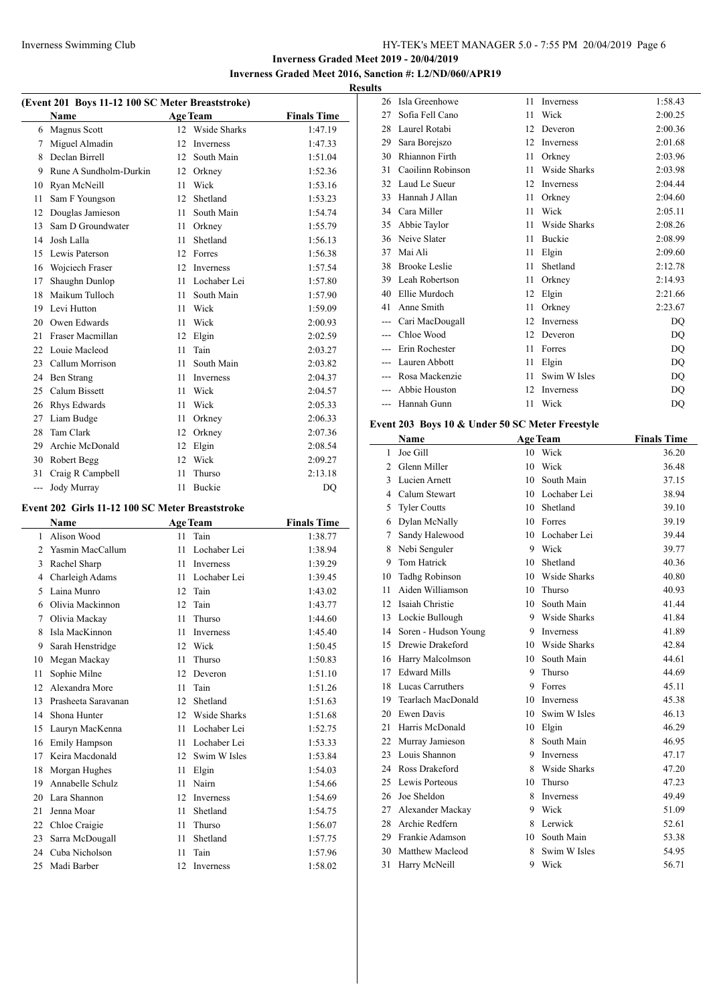# **Inverness Graded Meet 2019 - 20/04/2019 Inverness Graded Meet 2016, Sanction #: L2/ND/060/APR19**

**Results**

 $\overline{\phantom{a}}$ 

| (Event 201 Boys 11-12 100 SC Meter Breaststroke) |                        |                 |                 |                    |
|--------------------------------------------------|------------------------|-----------------|-----------------|--------------------|
|                                                  | <b>Name</b>            |                 | <b>Age Team</b> | <b>Finals Time</b> |
| 6                                                | <b>Magnus Scott</b>    |                 | 12 Wside Sharks | 1:47.19            |
| 7                                                | Miguel Almadin         | 12              | Inverness       | 1:47.33            |
| 8                                                | Declan Birrell         | 12              | South Main      | 1:51.04            |
| 9                                                | Rune A Sundholm-Durkin | 12              | Orkney          | 1:52.36            |
| 10                                               | Ryan McNeill           | 11              | Wick            | 1:53.16            |
| 11                                               | Sam F Youngson         | 12 <sup>1</sup> | Shetland        | 1:53.23            |
| 12                                               | Douglas Jamieson       | 11              | South Main      | 1:54.74            |
| 13                                               | Sam D Groundwater      | 11              | Orkney          | 1:55.79            |
| 14                                               | Josh Lalla             | 11              | Shetland        | 1:56.13            |
| 15                                               | Lewis Paterson         | 12              | Forres          | 1:56.38            |
| 16                                               | Wojciech Fraser        | 12              | Inverness       | 1:57.54            |
| 17                                               | Shaughn Dunlop         | 11              | Lochaber Lei    | 1:57.80            |
| 18                                               | Maikum Tulloch         | 11              | South Main      | 1:57.90            |
| 19                                               | Levi Hutton            | 11              | Wick            | 1:59.09            |
| 20                                               | Owen Edwards           | 11              | Wick            | 2:00.93            |
| 21                                               | Fraser Macmillan       | 12              | Elgin           | 2:02.59            |
| 22.                                              | Louie Macleod          | 11              | Tain            | 2:03.27            |
| 23                                               | Callum Morrison        | 11              | South Main      | 2:03.82            |
| 24                                               | Ben Strang             | 11              | Inverness       | 2:04.37            |
| 25                                               | Calum Bissett          | 11              | Wick            | 2:04.57            |
| 26                                               | Rhys Edwards           | 11              | Wick            | 2:05.33            |
| 27                                               | Liam Budge             | 11              | Orkney          | 2:06.33            |
| 28                                               | Tam Clark              | 12              | Orkney          | 2:07.36            |
| 29                                               | Archie McDonald        | 12              | Elgin           | 2:08.54            |
| 30                                               | Robert Begg            | 12              | Wick            | 2:09.27            |
| 31                                               | Craig R Campbell       | 11              | Thurso          | 2:13.18            |
| ---                                              | Jody Murray            | 11              | Buckie          | D <sub>O</sub>     |

## **Event 202 Girls 11-12 100 SC Meter Breaststroke**

 $\overline{a}$ 

|                | Name                |    | <b>Age Team</b> | <b>Finals Time</b> |
|----------------|---------------------|----|-----------------|--------------------|
| 1              | Alison Wood         | 11 | Tain            | 1:38.77            |
| $\mathfrak{D}$ | Yasmin MacCallum    | 11 | Lochaber Lei    | 1:38.94            |
| 3              | Rachel Sharp        | 11 | Inverness       | 1:39.29            |
| 4              | Charleigh Adams     | 11 | Lochaber Lei    | 1:39.45            |
| 5              | Laina Munro         | 12 | Tain            | 1:43.02            |
| 6              | Olivia Mackinnon    | 12 | Tain            | 1:43.77            |
| 7              | Olivia Mackay       | 11 | Thurso          | 1:44.60            |
| 8              | Isla MacKinnon      | 11 | Inverness       | 1:45.40            |
| 9              | Sarah Henstridge    | 12 | Wick            | 1:50.45            |
| 10             | Megan Mackay        | 11 | Thurso          | 1:50.83            |
| 11             | Sophie Milne        | 12 | Deveron         | 1:51.10            |
| 12             | Alexandra More      | 11 | Tain            | 1:51.26            |
| 13             | Prasheeta Saravanan | 12 | Shetland        | 1:51.63            |
| 14             | Shona Hunter        | 12 | Wside Sharks    | 1:51.68            |
| 15             | Lauryn MacKenna     | 11 | Lochaber Lei    | 1:52.75            |
| 16             | Emily Hampson       | 11 | Lochaber Lei    | 1:53.33            |
| 17             | Keira Macdonald     | 12 | Swim W Isles    | 1:53.84            |
| 18             | Morgan Hughes       | 11 | Elgin           | 1:54.03            |
| 19             | Annabelle Schulz    | 11 | Nairn           | 1:54.66            |
| 20             | Lara Shannon        | 12 | Inverness       | 1:54.69            |
| 21             | Jenna Moar          | 11 | Shetland        | 1:54.75            |
| 22             | Chloe Craigie       | 11 | Thurso          | 1:56.07            |
| 23             | Sarra McDougall     | 11 | Shetland        | 1:57.75            |
| 24             | Cuba Nicholson      | 11 | Tain            | 1:57.96            |
| 25             | Madi Barber         | 12 | Inverness       | 1:58.02            |

| 26    | Isla Greenhowe       | 11 | Inverness    | 1:58.43 |
|-------|----------------------|----|--------------|---------|
| 27    | Sofia Fell Cano      | 11 | Wick         | 2:00.25 |
| 28    | Laurel Rotabi        | 12 | Deveron      | 2:00.36 |
| 29    | Sara Borejszo        | 12 | Inverness    | 2:01.68 |
| 30    | Rhiannon Firth       | 11 | Orkney       | 2:03.96 |
| 31    | Caoilinn Robinson    | 11 | Wside Sharks | 2:03.98 |
| 32    | Laud Le Sueur        | 12 | Inverness    | 2:04.44 |
| 33    | Hannah J Allan       | 11 | Orkney       | 2:04.60 |
| 34    | Cara Miller          | 11 | Wick         | 2:05.11 |
| 35    | Abbie Taylor         | 11 | Wside Sharks | 2:08.26 |
| 36    | Neive Slater         | 11 | Buckie       | 2:08.99 |
| 37    | Mai Ali              | 11 | Elgin        | 2:09.60 |
| 38    | <b>Brooke Leslie</b> | 11 | Shetland     | 2:12.78 |
| 39    | Leah Robertson       | 11 | Orkney       | 2:14.93 |
| 40    | Ellie Murdoch        | 12 | Elgin        | 2:21.66 |
| 41    | Anne Smith           | 11 | Orkney       | 2:23.67 |
|       | Cari MacDougall      | 12 | Inverness    | DQ      |
|       | Chloe Wood           | 12 | Deveron      | DQ      |
|       | Erin Rochester       | 11 | Forres       | DQ      |
|       | Lauren Abbott        | 11 | Elgin        | DQ      |
| $---$ | Rosa Mackenzie       | 11 | Swim W Isles | DQ      |
|       | Abbie Houston        | 12 | Inverness    | DQ      |
|       | Hannah Gunn          | 11 | Wick         | DQ      |
|       |                      |    |              |         |

## **Event 203 Boys 10 & Under 50 SC Meter Freestyle**

|                | Name                 |    | <b>Age Team</b>     | <b>Finals Time</b> |
|----------------|----------------------|----|---------------------|--------------------|
| 1              | Joe Gill             | 10 | Wick                | 36.20              |
| $\overline{2}$ | Glenn Miller         | 10 | Wick                | 36.48              |
| 3              | Lucien Arnett        | 10 | South Main          | 37.15              |
| 4              | Calum Stewart        | 10 | Lochaber Lei        | 38.94              |
| 5              | <b>Tyler Coutts</b>  | 10 | Shetland            | 39.10              |
| 6              | Dylan McNally        | 10 | Forres              | 39.19              |
| 7              | Sandy Halewood       | 10 | Lochaber Lei        | 39.44              |
| 8              | Nebi Senguler        | 9  | Wick                | 39.77              |
| 9              | <b>Tom Hatrick</b>   | 10 | Shetland            | 40.36              |
| 10             | Tadhg Robinson       | 10 | <b>Wside Sharks</b> | 40.80              |
| 11             | Aiden Williamson     | 10 | Thurso              | 40.93              |
| 12             | Isaiah Christie      | 10 | South Main          | 41.44              |
| 13             | Lockie Bullough      | 9  | Wside Sharks        | 41.84              |
| 14             | Soren - Hudson Young | 9  | Inverness           | 41.89              |
| 15             | Drewie Drakeford     | 10 | <b>Wside Sharks</b> | 42.84              |
| 16             | Harry Malcolmson     | 10 | South Main          | 44.61              |
| 17             | <b>Edward Mills</b>  | 9  | Thurso              | 44.69              |
| 18             | Lucas Carruthers     | 9  | Forres              | 45.11              |
| 19             | Tearlach MacDonald   | 10 | Inverness           | 45.38              |
| 20             | Ewen Davis           | 10 | Swim W Isles        | 46.13              |
| 21             | Harris McDonald      | 10 | Elgin               | 46.29              |
| 22             | Murray Jamieson      | 8  | South Main          | 46.95              |
| 23             | Louis Shannon        | 9  | Inverness           | 47.17              |
| 24             | Ross Drakeford       | 8  | Wside Sharks        | 47.20              |
| 25             | Lewis Porteous       | 10 | Thurso              | 47.23              |
| 26             | Joe Sheldon          | 8  | Inverness           | 49.49              |
| 27             | Alexander Mackay     | 9  | Wick                | 51.09              |
| 28             | Archie Redfern       | 8  | Lerwick             | 52.61              |
| 29             | Frankie Adamson      | 10 | South Main          | 53.38              |
| 30             | Matthew Macleod      | 8  | Swim W Isles        | 54.95              |
| 31             | Harry McNeill        | 9  | Wick                | 56.71              |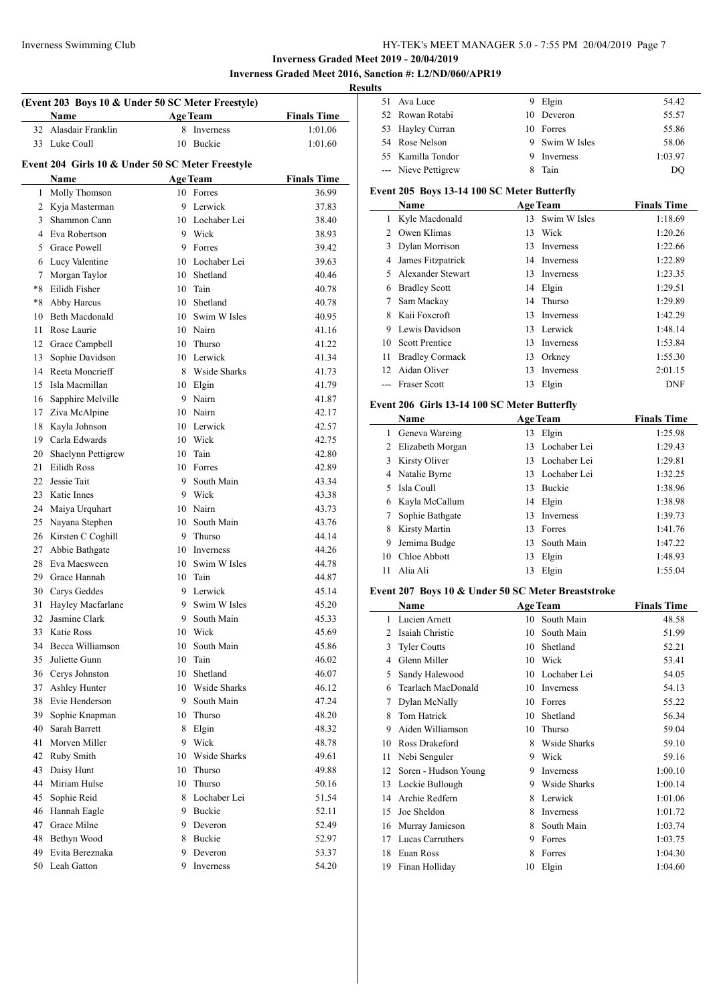**Inverness Graded Meet 2019 - 20/04/2019 Inverness Graded Meet 2016, Sanction #: L2/ND/060/APR19**

# **Results**

| (Event 203 Boys 10 & Under 50 SC Meter Freestyle) |                                                  |    |                     |                    |  |
|---------------------------------------------------|--------------------------------------------------|----|---------------------|--------------------|--|
|                                                   | <b>Name</b>                                      |    | <b>Age Team</b>     | <b>Finals Time</b> |  |
|                                                   | 32 Alasdair Franklin                             |    | 8 Inverness         | 1:01.06            |  |
| 33                                                | Luke Coull                                       | 10 | <b>Buckie</b>       | 1:01.60            |  |
|                                                   |                                                  |    |                     |                    |  |
|                                                   | Event 204 Girls 10 & Under 50 SC Meter Freestyle |    |                     |                    |  |
|                                                   | Name                                             |    | <b>Age Team</b>     | <b>Finals Time</b> |  |
| $\mathbf{1}$                                      | Molly Thomson                                    |    | 10 Forres           | 36.99              |  |
|                                                   | 2 Kyja Masterman                                 | 9  | Lerwick             | 37.83              |  |
| 3                                                 | Shammon Cann                                     |    | 10 Lochaber Lei     | 38.40              |  |
| 4                                                 | Eva Robertson                                    |    | 9 Wick              | 38.93              |  |
| 5.                                                | <b>Grace Powell</b>                              | 9  | Forres              | 39.42              |  |
|                                                   | 6 Lucy Valentine                                 |    | 10 Lochaber Lei     | 39.63              |  |
| 7                                                 | Morgan Taylor                                    | 10 | Shetland            | 40.46              |  |
| $*8$                                              | Eilidh Fisher                                    | 10 | Tain                | 40.78              |  |
| $*8$                                              | Abby Harcus                                      | 10 | Shetland            | 40.78              |  |
| 10                                                | <b>Beth Macdonald</b>                            | 10 | Swim W Isles        | 40.95              |  |
| 11                                                | Rose Laurie                                      |    | 10 Nairn            | 41.16              |  |
|                                                   | 12 Grace Campbell                                | 10 | Thurso              | 41.22              |  |
| 13                                                | Sophie Davidson                                  |    | 10 Lerwick          | 41.34              |  |
| 14                                                | Reeta Moncrieff                                  |    | 8 Wside Sharks      | 41.73              |  |
| 15                                                | Isla Macmillan                                   |    | 10 Elgin            | 41.79              |  |
| 16                                                | Sapphire Melville                                |    | 9 Nairn             | 41.87              |  |
|                                                   | 17 Ziva McAlpine                                 | 10 | Nairn               | 42.17              |  |
| 18                                                | Kayla Johnson                                    |    | 10 Lerwick          | 42.57              |  |
| 19                                                | Carla Edwards                                    |    | 10 Wick             | 42.75              |  |
| 20                                                | Shaelynn Pettigrew                               | 10 | Tain                | 42.80              |  |
| 21                                                | Eilidh Ross                                      |    | 10 Forres           | 42.89              |  |
| 22                                                | Jessie Tait                                      | 9. | South Main          | 43.34              |  |
| 23                                                | Katie Innes                                      |    | 9 Wick              | 43.38              |  |
| 24                                                | Maiya Urquhart                                   |    | 10 Nairn            | 43.73              |  |
| 25                                                | Nayana Stephen                                   | 10 | South Main          | 43.76              |  |
| 26                                                | Kirsten C Coghill                                | 9. | Thurso              | 44.14              |  |
| 27                                                | Abbie Bathgate                                   |    | 10 Inverness        | 44.26              |  |
| 28                                                | Eva Macsween                                     | 10 | Swim W Isles        | 44.78              |  |
|                                                   | 29 Grace Hannah                                  | 10 | Tain                | 44.87              |  |
|                                                   | 30 Carys Geddes                                  | 9  | Lerwick             | 45.14              |  |
| 31                                                | Hayley Macfarlane                                | 9  | Swim W Isles        | 45.20              |  |
| 32                                                | Jasmine Clark                                    | 9  | South Main          | 45.33              |  |
| 33                                                | Katie Ross                                       |    | 10 Wick             | 45.69              |  |
| 34                                                | Becca Williamson                                 | 10 | South Main          | 45.86              |  |
| 35                                                | Juliette Gunn                                    | 10 | Tain                | 46.02              |  |
|                                                   | 36 Cervs Johnston                                | 10 | Shetland            | 46.07              |  |
| 37                                                | Ashley Hunter                                    | 10 | <b>Wside Sharks</b> | 46.12              |  |
|                                                   | 38 Evie Henderson                                | 9. | South Main          | 47.24              |  |
| 39                                                | Sophie Knapman                                   | 10 | Thurso              | 48.20              |  |
| 40                                                | Sarah Barrett                                    | 8  | Elgin               | 48.32              |  |
| 41                                                | Morven Miller                                    |    | 9 Wick              | 48.78              |  |
|                                                   | 42 Ruby Smith                                    |    | 10 Wside Sharks     | 49.61              |  |
| 43                                                | Daisy Hunt                                       |    | 10 Thurso           | 49.88              |  |
| 44                                                | Miriam Hulse                                     | 10 | Thurso              | 50.16              |  |
| 45                                                | Sophie Reid                                      |    | 8 Lochaber Lei      | 51.54              |  |
| 46                                                | Hannah Eagle                                     |    | 9 Buckie            | 52.11              |  |
| 47                                                | Grace Milne                                      | 9  | Deveron             | 52.49              |  |
| 48                                                | Bethyn Wood                                      | 8  | Buckie              | 52.97              |  |
| 49                                                | Evita Bereznaka                                  | 9  | Deveron             | 53.37              |  |
|                                                   | 50 Leah Gatton                                   | 9  | Inverness           | 54.20              |  |
|                                                   |                                                  |    |                     |                    |  |

| LS. |                     |                |         |
|-----|---------------------|----------------|---------|
|     | 51 Ava Luce         | 9 Elgin        | 54.42   |
|     | 52 Rowan Rotabi     | 10 Deveron     | 55.57   |
|     | 53 Hayley Curran    | 10 Forres      | 55.86   |
|     | 54 Rose Nelson      | 9 Swim W Isles | 58.06   |
|     | 55 Kamilla Tondor   | Inverness      | 1:03.97 |
|     | --- Nieve Pettigrew | Tain           | DO      |

### **Event 205 Boys 13-14 100 SC Meter Butterfly**

|                 | Name                   |    | <b>Age Team</b> | <b>Finals Time</b> |
|-----------------|------------------------|----|-----------------|--------------------|
|                 | Kyle Macdonald         | 13 | Swim W Isles    | 1:18.69            |
|                 | Owen Klimas            | 13 | Wick            | 1:20.26            |
| 3               | Dylan Morrison         | 13 | Inverness       | 1:22.66            |
| 4               | James Fitzpatrick      | 14 | Inverness       | 1:22.89            |
| 5.              | Alexander Stewart      | 13 | Inverness       | 1:23.35            |
| 6               | <b>Bradley Scott</b>   | 14 | Elgin           | 1:29.51            |
|                 | Sam Mackay             | 14 | Thurso          | 1:29.89            |
| 8               | Kaii Foxeroft          | 13 | Inverness       | 1:42.29            |
| 9               | Lewis Davidson         | 13 | Lerwick         | 1:48.14            |
| 10              | <b>Scott Prentice</b>  | 13 | Inverness       | 1:53.84            |
| 11              | <b>Bradley Cormack</b> | 13 | Orkney          | 1:55.30            |
| 12 <sub>1</sub> | Aidan Oliver           | 13 | Inverness       | 2:01.15            |
|                 | <b>Fraser Scott</b>    | 13 | Elgin           | <b>DNF</b>         |

### **Event 206 Girls 13-14 100 SC Meter Butterfly**

|    | Name             |    | <b>Age Team</b> | <b>Finals Time</b> |
|----|------------------|----|-----------------|--------------------|
| 1  | Geneva Wareing   | 13 | Elgin           | 1:25.98            |
| 2  | Elizabeth Morgan | 13 | Lochaber Lei    | 1:29.43            |
| 3  | Kirsty Oliver    | 13 | Lochaber Lei    | 1:29.81            |
| 4  | Natalie Byrne    | 13 | Lochaber Lei    | 1:32.25            |
| 5. | Isla Coull       | 13 | <b>Buckie</b>   | 1:38.96            |
| 6  | Kayla McCallum   | 14 | Elgin           | 1:38.98            |
|    | Sophie Bathgate  | 13 | Inverness       | 1:39.73            |
| 8  | Kirsty Martin    | 13 | Forres          | 1:41.76            |
| 9  | Jemima Budge     | 13 | South Main      | 1:47.22            |
| 10 | Chloe Abbott     | 13 | Elgin           | 1:48.93            |
| 11 | Alia Ali         | 13 | Elgin           | 1:55.04            |

### **Event 207 Boys 10 & Under 50 SC Meter Breaststroke**

|    | Name                 |    | <b>Age Team</b>  | <b>Finals Time</b> |
|----|----------------------|----|------------------|--------------------|
| 1  | Lucien Arnett        | 10 | South Main       | 48.58              |
| 2  | Isaiah Christie      | 10 | South Main       | 51.99              |
| 3  | <b>Tyler Coutts</b>  | 10 | Shetland         | 52.21              |
| 4  | Glenn Miller         | 10 | Wick             | 53.41              |
| 5  | Sandy Halewood       | 10 | Lochaber Lei     | 54.05              |
| 6  | Tearlach MacDonald   | 10 | Inverness        | 54.13              |
| 7  | Dylan McNally        | 10 | Forres           | 55.22              |
| 8  | Tom Hatrick          | 10 | Shetland         | 56.34              |
| 9  | Aiden Williamson     | 10 | Thurso           | 59.04              |
| 10 | Ross Drakeford       | 8  | Wside Sharks     | 59.10              |
| 11 | Nebi Senguler        | 9  | Wick             | 59.16              |
| 12 | Soren - Hudson Young | 9  | <b>Inverness</b> | 1:00.10            |
| 13 | Lockie Bullough      | 9  | Wside Sharks     | 1:00.14            |
| 14 | Archie Redfern       | 8  | Lerwick          | 1:01.06            |
| 15 | Joe Sheldon          | 8  | Inverness        | 1:01.72            |
| 16 | Murray Jamieson      | 8  | South Main       | 1:03.74            |
| 17 | Lucas Carruthers     | 9  | Forres           | 1:03.75            |
| 18 | Euan Ross            | 8  | Forres           | 1:04.30            |
| 19 | Finan Holliday       | 10 | Elgin            | 1:04.60            |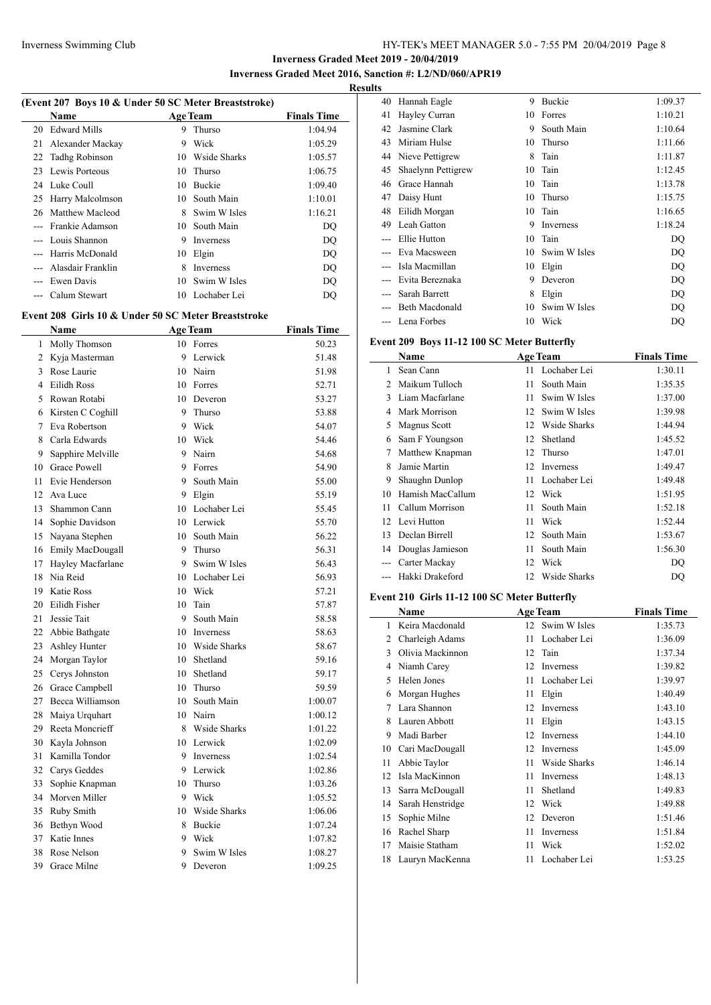**Inverness Graded Meet 2019 - 20/04/2019**

**Inverness Graded Meet 2016, Sanction #: L2/ND/060/APR19**

 $\frac{1}{2}$ 

### **Results**

| (Event 207 Boys 10 & Under 50 SC Meter Breaststroke) |                                                     |          |                           |                    |  |
|------------------------------------------------------|-----------------------------------------------------|----------|---------------------------|--------------------|--|
|                                                      | Name                                                |          | <b>Age Team</b>           | <b>Finals Time</b> |  |
| 20                                                   | <b>Edward Mills</b>                                 | 9        | Thurso                    | 1:04.94            |  |
| 21                                                   | Alexander Mackay                                    | 9        | Wick                      | 1:05.29            |  |
|                                                      | 22 Tadhg Robinson                                   |          | 10 Wside Sharks           | 1:05.57            |  |
| 23                                                   | Lewis Porteous                                      | 10       | Thurso                    | 1:06.75            |  |
|                                                      | 24 Luke Coull                                       |          | 10 Buckie                 | 1:09.40            |  |
|                                                      | 25 Harry Malcolmson                                 |          | 10 South Main             | 1:10.01            |  |
|                                                      | 26 Matthew Macleod                                  |          | 8 Swim W Isles            | 1:16.21            |  |
|                                                      | --- Frankie Adamson                                 |          | 10 South Main             | DQ                 |  |
|                                                      | --- Louis Shannon                                   |          | 9 Inverness               | DQ                 |  |
| ---                                                  | Harris McDonald                                     |          | 10 Elgin                  | DQ                 |  |
| ---                                                  | Alasdair Franklin                                   |          | 8 Inverness               | DQ                 |  |
| $-$ --                                               | Ewen Davis                                          |          | 10 Swim W Isles           | DQ                 |  |
| ---                                                  | Calum Stewart                                       | 10       | Lochaber Lei              | DQ                 |  |
|                                                      |                                                     |          |                           |                    |  |
|                                                      | Event 208 Girls 10 & Under 50 SC Meter Breaststroke |          |                           |                    |  |
|                                                      | Name                                                |          | <b>Age Team</b>           | <b>Finals Time</b> |  |
| 1                                                    | Molly Thomson                                       | 10       | Forres                    | 50.23              |  |
| 2                                                    | Kyja Masterman                                      | 9        | Lerwick                   | 51.48              |  |
|                                                      | 3 Rose Laurie                                       |          | 10 Nairn                  | 51.98              |  |
| 4                                                    | Eilidh Ross                                         |          | 10 Forres                 | 52.71              |  |
| 5                                                    | Rowan Rotabi                                        |          | 10 Deveron                | 53.27              |  |
| 6                                                    | Kirsten C Coghill                                   | 9        | Thurso                    | 53.88              |  |
| 7                                                    | Eva Robertson                                       |          | 9 Wick                    | 54.07              |  |
| 8                                                    | Carla Edwards                                       |          | 10 Wick                   | 54.46              |  |
| 9                                                    | Sapphire Melville                                   |          | 9 Nairn                   | 54.68              |  |
| 10                                                   | <b>Grace Powell</b>                                 |          | 9 Forres                  | 54.90              |  |
| 11                                                   | Evie Henderson                                      |          | 9 South Main              | 55.00              |  |
| 12                                                   | Ava Luce                                            |          | 9 Elgin                   | 55.19              |  |
| 13                                                   | Shammon Cann                                        |          | 10 Lochaber Lei           | 55.45              |  |
| 14                                                   | Sophie Davidson                                     |          | 10 Lerwick                | 55.70              |  |
| 15                                                   | Nayana Stephen                                      |          | 10 South Main             | 56.22              |  |
| 16                                                   | Emily MacDougall                                    | 9        | Thurso                    | 56.31              |  |
| 17                                                   | Hayley Macfarlane                                   |          | 9 Swim W Isles            | 56.43              |  |
| 18                                                   | Nia Reid                                            |          | 10 Lochaber Lei           | 56.93              |  |
| 19                                                   | <b>Katie Ross</b>                                   |          | 10 Wick                   | 57.21              |  |
| 20                                                   | Eilidh Fisher                                       | 10       | Tain                      | 57.87              |  |
| 21                                                   | Jessie Tait                                         | 9        | South Main                | 58.58              |  |
|                                                      |                                                     |          |                           |                    |  |
| 22                                                   | Abbie Bathgate<br>Ashley Hunter                     | 10       | Inverness<br>Wside Sharks | 58.63              |  |
| 23<br>24                                             |                                                     | 10<br>10 | Shetland                  | 58.67<br>59.16     |  |
|                                                      | Morgan Taylor                                       |          |                           |                    |  |
| 25                                                   | Cerys Johnston                                      |          | 10 Shetland               | 59.17              |  |
| 26                                                   | Grace Campbell                                      | 10       | Thurso                    | 59.59              |  |
| 27                                                   | Becca Williamson                                    |          | 10 South Main             | 1:00.07            |  |
| 28                                                   | Maiya Urquhart                                      |          | 10 Nairn                  | 1:00.12            |  |
| 29                                                   | Reeta Moncrieff                                     |          | 8 Wside Sharks            | 1:01.22            |  |
| 30                                                   | Kayla Johnson                                       |          | 10 Lerwick                | 1:02.09            |  |
| 31                                                   | Kamilla Tondor                                      |          | 9 Inverness               | 1:02.54            |  |
| 32                                                   | Carys Geddes                                        | 9.       | Lerwick                   | 1:02.86            |  |
| 33                                                   | Sophie Knapman                                      | 10       | Thurso                    | 1:03.26            |  |
| 34                                                   | Morven Miller                                       |          | 9 Wick                    | 1:05.52            |  |
| 35                                                   | Ruby Smith                                          |          | 10 Wside Sharks           | 1:06.06            |  |
| 36                                                   | Bethyn Wood                                         |          | 8 Buckie                  | 1:07.24            |  |
| 37                                                   | Katie Innes                                         |          | 9 Wick                    | 1:07.82            |  |
| 38                                                   | Rose Nelson                                         | 9        | Swim W Isles              | 1:08.27            |  |
| 39                                                   | Grace Milne                                         | 9        | Deveron                   | 1:09.25            |  |
|                                                      |                                                     |          |                           |                    |  |

| LS |                    |    |               |         |
|----|--------------------|----|---------------|---------|
| 40 | Hannah Eagle       | 9  | <b>Buckie</b> | 1:09.37 |
| 41 | Hayley Curran      | 10 | Forres        | 1:10.21 |
| 42 | Jasmine Clark      | 9  | South Main    | 1:10.64 |
| 43 | Miriam Hulse       | 10 | Thurso        | 1:11.66 |
| 44 | Nieve Pettigrew    | 8  | Tain          | 1:11.87 |
| 45 | Shaelynn Pettigrew | 10 | Tain          | 1:12.45 |
| 46 | Grace Hannah       | 10 | Tain          | 1:13.78 |
| 47 | Daisy Hunt         | 10 | Thurso        | 1:15.75 |
| 48 | Eilidh Morgan      | 10 | Tain          | 1:16.65 |
| 49 | Leah Gatton        | 9  | Inverness     | 1:18.24 |
|    | Ellie Hutton       | 10 | Tain          | DQ      |
|    | Eva Macsween       | 10 | Swim W Isles  | DQ      |
|    | Isla Macmillan     | 10 | Elgin         | DQ      |
|    | Evita Bereznaka    | 9  | Deveron       | DQ      |
|    | Sarah Barrett      | 8  | Elgin         | DQ      |
|    | Beth Macdonald     | 10 | Swim W Isles  | DQ      |
|    | Lena Forbes        | 10 | Wick          | DQ      |

## **Event 209 Boys 11-12 100 SC Meter Butterfly**

|               | Name             |    | <b>Age Team</b> | <b>Finals Time</b> |
|---------------|------------------|----|-----------------|--------------------|
| 1             | Sean Cann        |    | 11 Lochaber Lei | 1:30.11            |
| $\mathcal{L}$ | Maikum Tulloch   | 11 | South Main      | 1:35.35            |
| 3             | Liam Macfarlane  | 11 | Swim W Isles    | 1:37.00            |
| 4             | Mark Morrison    | 12 | Swim W Isles    | 1:39.98            |
| 5             | Magnus Scott     | 12 | Wside Sharks    | 1:44.94            |
| 6             | Sam F Youngson   | 12 | Shetland        | 1:45.52            |
| 7             | Matthew Knapman  | 12 | Thurso          | 1:47.01            |
| 8             | Jamie Martin     | 12 | Inverness       | 1:49.47            |
| 9             | Shaughn Dunlop   | 11 | Lochaber Lei    | 1:49.48            |
| 10            | Hamish MacCallum | 12 | Wick            | 1:51.95            |
| 11            | Callum Morrison  | 11 | South Main      | 1:52.18            |
| 12            | Levi Hutton      | 11 | Wick            | 1:52.44            |
| 13            | Declan Birrell   | 12 | South Main      | 1:53.67            |
| 14            | Douglas Jamieson | 11 | South Main      | 1:56.30            |
|               | Carter Mackay    | 12 | Wick            | DO                 |
|               | Hakki Drakeford  | 12 | Wside Sharks    | DO                 |

## **Event 210 Girls 11-12 100 SC Meter Butterfly**

|    | <b>Name</b>        |    | <b>Age Team</b> | <b>Finals Time</b> |
|----|--------------------|----|-----------------|--------------------|
| 1  | Keira Macdonald    |    | 12 Swim W Isles | 1:35.73            |
| 2  | Charleigh Adams    | 11 | Lochaber Lei    | 1:36.09            |
| 3  | Olivia Mackinnon   | 12 | Tain            | 1:37.34            |
| 4  | Niamh Carey        | 12 | Inverness       | 1:39.82            |
| 5  | Helen Jones        | 11 | Lochaber Lei    | 1:39.97            |
| 6  | Morgan Hughes      | 11 | Elgin           | 1:40.49            |
| 7  | Lara Shannon       | 12 | Inverness       | 1:43.10            |
| 8  | Lauren Abbott      | 11 | Elgin           | 1:43.15            |
| 9  | Madi Barber        | 12 | Inverness       | 1:44.10            |
| 10 | Cari MacDougall    | 12 | Inverness       | 1:45.09            |
| 11 | Abbie Taylor       | 11 | Wside Sharks    | 1:46.14            |
| 12 | Isla MacKinnon     | 11 | Inverness       | 1:48.13            |
| 13 | Sarra McDougall    | 11 | Shetland        | 1:49.83            |
| 14 | Sarah Henstridge   | 12 | Wick            | 1:49.88            |
| 15 | Sophie Milne       | 12 | Deveron         | 1:51.46            |
| 16 | Rachel Sharp       | 11 | Inverness       | 1:51.84            |
| 17 | Maisie Statham     | 11 | Wick            | 1:52.02            |
|    | 18 Lauryn MacKenna | 11 | Lochaber Lei    | 1:53.25            |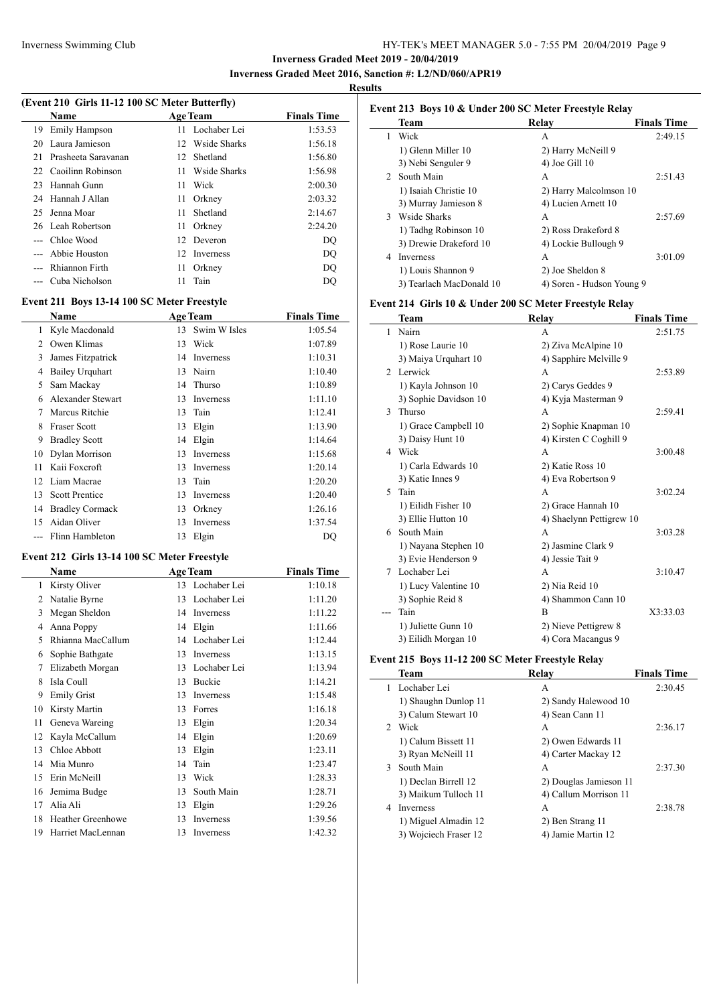### **Inverness Graded Meet 2019 - 20/04/2019 Inverness Graded Meet 2016, Sanction #: L2/ND/060/APR19**

#### **Results**

| (Event 210 Girls 11-12 100 SC Meter Butterfly) |                      |                 |                 |                    |  |
|------------------------------------------------|----------------------|-----------------|-----------------|--------------------|--|
|                                                | Name                 |                 | <b>Age Team</b> | <b>Finals Time</b> |  |
| 19                                             | Emily Hampson        | 11              | Lochaber Lei    | 1:53.53            |  |
| 20                                             | Laura Jamieson       | 12 <sup>1</sup> | Wside Sharks    | 1:56.18            |  |
| 21                                             | Prasheeta Sarayanan  | 12              | Shetland        | 1:56.80            |  |
|                                                | 22 Caoilinn Robinson | 11              | Wside Sharks    | 1:56.98            |  |
| 23                                             | Hannah Gunn          | 11              | Wick            | 2:00.30            |  |
|                                                | 24 Hannah J Allan    | 11              | Orkney          | 2:03.32            |  |
| 25.                                            | Jenna Moar           | 11              | Shetland        | 2:14.67            |  |
|                                                | 26 Leah Robertson    | 11              | Orkney          | 2:24.20            |  |
|                                                | Chloe Wood           | 12              | Deveron         | DO                 |  |
|                                                | Abbie Houston        | 12              | Inverness       | DO                 |  |
|                                                | Rhiannon Firth       | 11              | Orkney          | DO                 |  |

--- Cuba Nicholson 11 Tain DQ

#### **Event 211 Boys 13-14 100 SC Meter Freestyle**

|                | Name                   |    | <b>Age Team</b> | <b>Finals Time</b> |
|----------------|------------------------|----|-----------------|--------------------|
|                | Kyle Macdonald         | 13 | Swim W Isles    | 1:05.54            |
| $\mathfrak{D}$ | Owen Klimas            | 13 | Wick            | 1:07.89            |
| 3              | James Fitzpatrick      | 14 | Inverness       | 1:10.31            |
| 4              | <b>Bailey Urquhart</b> | 13 | Nairn           | 1:10.40            |
| 5              | Sam Mackay             |    | 14 Thurso       | 1:10.89            |
| 6              | Alexander Stewart      | 13 | Inverness       | 1:11.10            |
| 7              | Marcus Ritchie         | 13 | Tain            | 1:12.41            |
| 8              | <b>Fraser Scott</b>    | 13 | Elgin           | 1:13.90            |
| 9              | <b>Bradley Scott</b>   | 14 | Elgin           | 1:14.64            |
| 10             | Dylan Morrison         | 13 | Inverness       | 1:15.68            |
| 11             | Kaii Foxcroft          | 13 | Inverness       | 1:20.14            |
| 12             | Liam Macrae            | 13 | Tain            | 1:20.20            |
| 13             | <b>Scott Prentice</b>  | 13 | Inverness       | 1:20.40            |
| 14             | <b>Bradley Cormack</b> | 13 | Orkney          | 1:26.16            |
| 15             | Aidan Oliver           | 13 | Inverness       | 1:37.54            |
|                | Flinn Hambleton        | 13 | Elgin           | DQ                 |

## **Event 212 Girls 13-14 100 SC Meter Freestyle**

|    | Name                     |    | <b>Age Team</b> | <b>Finals Time</b> |
|----|--------------------------|----|-----------------|--------------------|
| 1  | Kirsty Oliver            | 13 | Lochaber Lei    | 1:10.18            |
| 2  | Natalie Byrne            | 13 | Lochaber Lei    | 1:11.20            |
| 3  | Megan Sheldon            | 14 | Inverness       | 1:11.22            |
| 4  | Anna Poppy               | 14 | Elgin           | 1:11.66            |
| 5  | Rhianna MacCallum        | 14 | Lochaber Lei    | 1:12.44            |
| 6  | Sophie Bathgate          | 13 | Inverness       | 1:13.15            |
| 7  | Elizabeth Morgan         | 13 | Lochaber Lei    | 1:13.94            |
| 8  | Isla Coull               | 13 | Buckie          | 1:14.21            |
| 9  | <b>Emily Grist</b>       | 13 | Inverness       | 1:15.48            |
| 10 | Kirsty Martin            | 13 | Forres          | 1:16.18            |
| 11 | Geneva Wareing           | 13 | Elgin           | 1:20.34            |
| 12 | Kayla McCallum           | 14 | Elgin           | 1:20.69            |
| 13 | Chloe Abbott             | 13 | Elgin           | 1:23.11            |
| 14 | Mia Munro                | 14 | Tain            | 1:23.47            |
| 15 | Erin McNeill             | 13 | Wick            | 1:28.33            |
| 16 | Jemima Budge             | 13 | South Main      | 1:28.71            |
| 17 | Alia Ali                 | 13 | Elgin           | 1:29.26            |
| 18 | <b>Heather Greenhowe</b> | 13 | Inverness       | 1:39.56            |
| 19 | Harriet MacLennan        | 13 | Inverness       | 1:42.32            |

### **Event 213 Boys 10 & Under 200 SC Meter Freestyle Relay Team Relay Finals Time** 1 Wick A 2:49.15 1) Glenn Miller 10 2) Harry McNeill 9 3) Nebi Senguler 9 4) Joe Gill 10 2 South Main A 2:51.43 1) Isaiah Christie 10 2) Harry Malcolmson 10 3) Murray Jamieson 8 4) Lucien Arnett 10 3 Wside Sharks A 2:57.69 1) Tadhg Robinson 10 2) Ross Drakeford 8 3) Drewie Drakeford 10 4) Lockie Bullough 9 4 Inverness A 3:01.09 1) Louis Shannon 9 2) Joe Sheldon 8

## **Event 214 Girls 10 & Under 200 SC Meter Freestyle Relay**

3) Tearlach MacDonald 10 4) Soren - Hudson Young 9

|                | $\mu$ and $\mu$ and $\alpha$ chuck to be meter integrated in |                          |                    |  |  |  |
|----------------|--------------------------------------------------------------|--------------------------|--------------------|--|--|--|
|                | Team                                                         | Relay                    | <b>Finals Time</b> |  |  |  |
| 1              | Nairn                                                        | A                        | 2:51.75            |  |  |  |
|                | 1) Rose Laurie 10                                            | 2) Ziva McAlpine 10      |                    |  |  |  |
|                | 3) Maiya Urquhart 10                                         | 4) Sapphire Melville 9   |                    |  |  |  |
| $\mathfrak{D}$ | Lerwick                                                      | A                        | 2:53.89            |  |  |  |
|                | 1) Kayla Johnson 10                                          | 2) Carys Geddes 9        |                    |  |  |  |
|                | 3) Sophie Davidson 10                                        | 4) Kyja Masterman 9      |                    |  |  |  |
| 3              | Thurso                                                       | A                        | 2:59.41            |  |  |  |
|                | 1) Grace Campbell 10                                         | 2) Sophie Knapman 10     |                    |  |  |  |
|                | 3) Daisy Hunt 10                                             | 4) Kirsten C Coghill 9   |                    |  |  |  |
| 4              | Wick                                                         | A                        | 3:00.48            |  |  |  |
|                | 1) Carla Edwards 10                                          | 2) Katie Ross 10         |                    |  |  |  |
|                | 3) Katie Innes 9                                             | 4) Eva Robertson 9       |                    |  |  |  |
| 5              | Tain                                                         | A                        | 3:02.24            |  |  |  |
|                | 1) Eilidh Fisher 10                                          | 2) Grace Hannah 10       |                    |  |  |  |
|                | 3) Ellie Hutton 10                                           | 4) Shaelynn Pettigrew 10 |                    |  |  |  |
| 6              | South Main                                                   | A                        | 3:03.28            |  |  |  |
|                | 1) Nayana Stephen 10                                         | 2) Jasmine Clark 9       |                    |  |  |  |
|                | 3) Evie Henderson 9                                          | 4) Jessie Tait 9         |                    |  |  |  |
| 7              | Lochaber Lei                                                 | A                        | 3:10.47            |  |  |  |
|                | 1) Lucy Valentine 10                                         | 2) Nia Reid 10           |                    |  |  |  |
|                | 3) Sophie Reid 8                                             | 4) Shammon Cann 10       |                    |  |  |  |
|                | Tain                                                         | B                        | X3:33.03           |  |  |  |
|                | 1) Juliette Gunn 10                                          | 2) Nieve Pettigrew 8     |                    |  |  |  |
|                | 3) Eilidh Morgan 10                                          | 4) Cora Macangus 9       |                    |  |  |  |

#### **Event 215 Boys 11-12 200 SC Meter Freestyle Relay**

|             | Team                  | Relay                  | <b>Finals Time</b> |
|-------------|-----------------------|------------------------|--------------------|
|             | Lochaber Lei          | А                      | 2:30.45            |
|             | 1) Shaughn Dunlop 11  | 2) Sandy Halewood 10   |                    |
|             | 3) Calum Stewart 10   | 4) Sean Cann 11        |                    |
| $2^{\circ}$ | Wick                  | A                      | 2:36.17            |
|             | 1) Calum Bissett 11   | 2) Owen Edwards 11     |                    |
|             | 3) Ryan McNeill 11    | 4) Carter Mackay 12    |                    |
| 3           | South Main            | A                      | 2:37.30            |
|             | 1) Declan Birrell 12  | 2) Douglas Jamieson 11 |                    |
|             | 3) Maikum Tulloch 11  | 4) Callum Morrison 11  |                    |
| 4           | Inverness             | A                      | 2:38.78            |
|             | 1) Miguel Almadin 12  | 2) Ben Strang 11       |                    |
|             | 3) Wojciech Fraser 12 | 4) Jamie Martin 12     |                    |